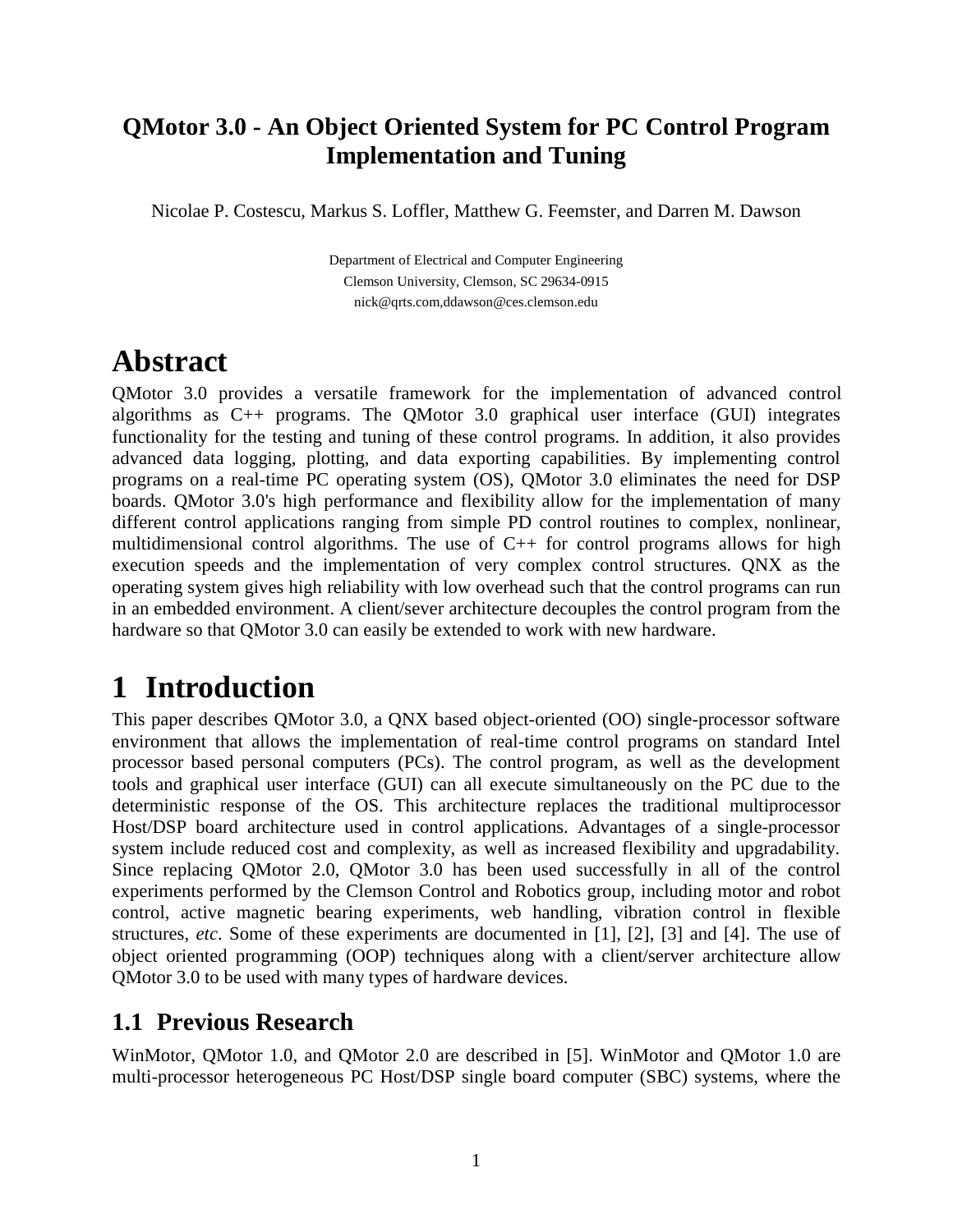## **QMotor 3.0 - An Object Oriented System for PC Control Program Implementation and Tuning**

Nicolae P. Costescu, Markus S. Loffler, Matthew G. Feemster, and Darren M. Dawson

Department of Electrical and Computer Engineering Clemson University, Clemson, SC 29634-0915 nick@qrts.com,ddawson@ces.clemson.edu

## **Abstract**

QMotor 3.0 provides a versatile framework for the implementation of advanced control algorithms as C++ programs. The QMotor 3.0 graphical user interface (GUI) integrates functionality for the testing and tuning of these control programs. In addition, it also provides advanced data logging, plotting, and data exporting capabilities. By implementing control programs on a real-time PC operating system (OS), QMotor 3.0 eliminates the need for DSP boards. QMotor 3.0's high performance and flexibility allow for the implementation of many different control applications ranging from simple PD control routines to complex, nonlinear, multidimensional control algorithms. The use of  $C++$  for control programs allows for high execution speeds and the implementation of very complex control structures. QNX as the operating system gives high reliability with low overhead such that the control programs can run in an embedded environment. A client/sever architecture decouples the control program from the hardware so that QMotor 3.0 can easily be extended to work with new hardware.

# **1 Introduction**

This paper describes QMotor 3.0, a QNX based object-oriented (OO) single-processor software environment that allows the implementation of real-time control programs on standard Intel processor based personal computers (PCs). The control program, as well as the development tools and graphical user interface (GUI) can all execute simultaneously on the PC due to the deterministic response of the OS. This architecture replaces the traditional multiprocessor Host/DSP board architecture used in control applications. Advantages of a single-processor system include reduced cost and complexity, as well as increased flexibility and upgradability. Since replacing QMotor 2.0, QMotor 3.0 has been used successfully in all of the control experiments performed by the Clemson Control and Robotics group, including motor and robot control, active magnetic bearing experiments, web handling, vibration control in flexible structures, *etc*. Some of these experiments are documented in [1], [2], [3] and [4]. The use of object oriented programming (OOP) techniques along with a client/server architecture allow QMotor 3.0 to be used with many types of hardware devices.

### **1.1 Previous Research**

WinMotor, QMotor 1.0, and QMotor 2.0 are described in [5]. WinMotor and QMotor 1.0 are multi-processor heterogeneous PC Host/DSP single board computer (SBC) systems, where the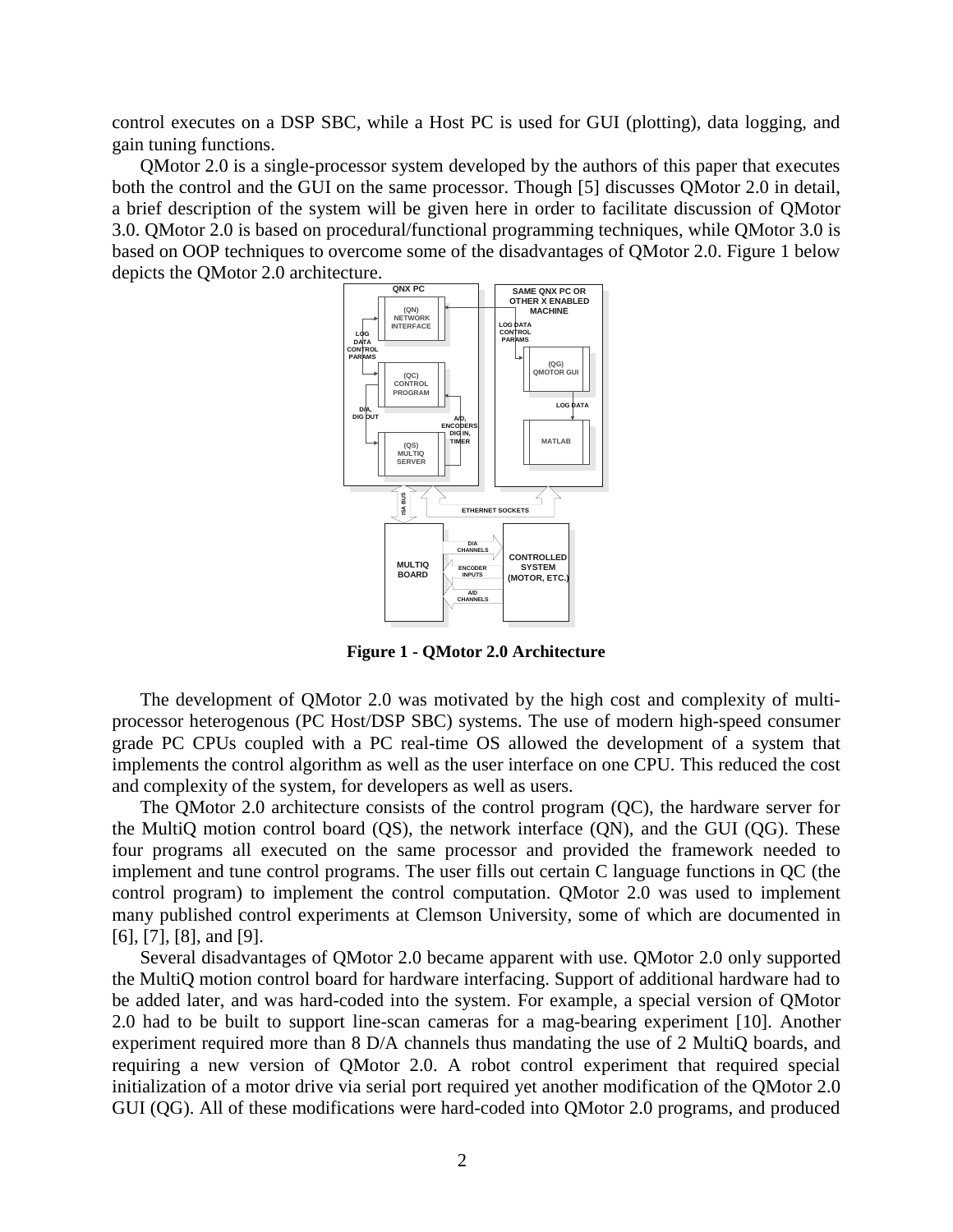control executes on a DSP SBC, while a Host PC is used for GUI (plotting), data logging, and gain tuning functions.

QMotor 2.0 is a single-processor system developed by the authors of this paper that executes both the control and the GUI on the same processor. Though [5] discusses QMotor 2.0 in detail, a brief description of the system will be given here in order to facilitate discussion of QMotor 3.0. QMotor 2.0 is based on procedural/functional programming techniques, while QMotor 3.0 is based on OOP techniques to overcome some of the disadvantages of QMotor 2.0. Figure 1 below depicts the QMotor 2.0 architecture.



**Figure 1 - QMotor 2.0 Architecture**

The development of QMotor 2.0 was motivated by the high cost and complexity of multiprocessor heterogenous (PC Host/DSP SBC) systems. The use of modern high-speed consumer grade PC CPUs coupled with a PC real-time OS allowed the development of a system that implements the control algorithm as well as the user interface on one CPU. This reduced the cost and complexity of the system, for developers as well as users.

The QMotor 2.0 architecture consists of the control program (QC), the hardware server for the MultiQ motion control board (QS), the network interface (QN), and the GUI (QG). These four programs all executed on the same processor and provided the framework needed to implement and tune control programs. The user fills out certain C language functions in QC (the control program) to implement the control computation. QMotor 2.0 was used to implement many published control experiments at Clemson University, some of which are documented in [6], [7], [8], and [9].

Several disadvantages of QMotor 2.0 became apparent with use. QMotor 2.0 only supported the MultiQ motion control board for hardware interfacing. Support of additional hardware had to be added later, and was hard-coded into the system. For example, a special version of QMotor 2.0 had to be built to support line-scan cameras for a mag-bearing experiment [10]. Another experiment required more than 8 D/A channels thus mandating the use of 2 MultiQ boards, and requiring a new version of QMotor 2.0. A robot control experiment that required special initialization of a motor drive via serial port required yet another modification of the QMotor 2.0 GUI (QG). All of these modifications were hard-coded into QMotor 2.0 programs, and produced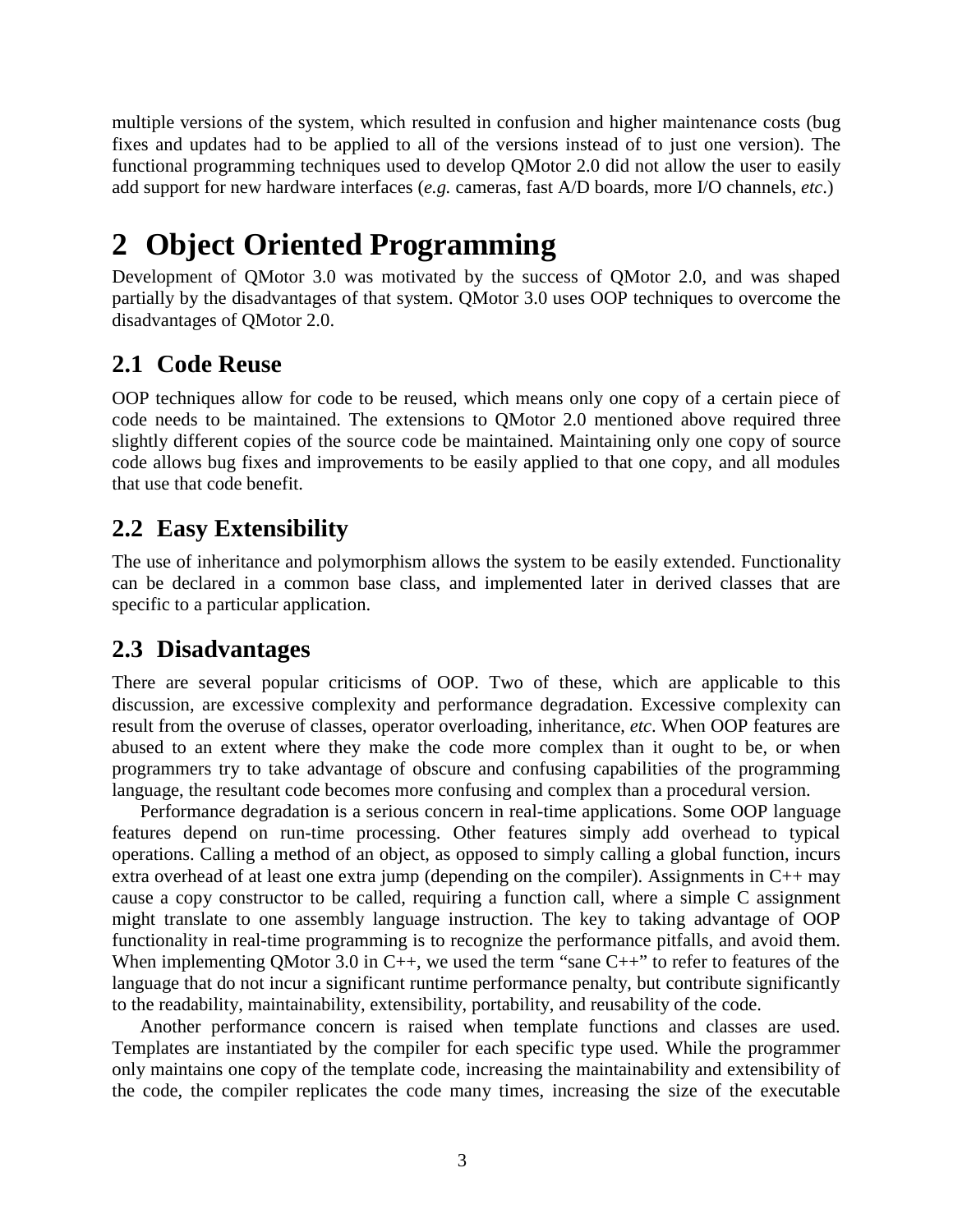multiple versions of the system, which resulted in confusion and higher maintenance costs (bug fixes and updates had to be applied to all of the versions instead of to just one version). The functional programming techniques used to develop QMotor 2.0 did not allow the user to easily add support for new hardware interfaces (*e.g.* cameras, fast A/D boards, more I/O channels, *etc*.)

# **2 Object Oriented Programming**

Development of QMotor 3.0 was motivated by the success of QMotor 2.0, and was shaped partially by the disadvantages of that system. QMotor 3.0 uses OOP techniques to overcome the disadvantages of QMotor 2.0.

## **2.1 Code Reuse**

OOP techniques allow for code to be reused, which means only one copy of a certain piece of code needs to be maintained. The extensions to QMotor 2.0 mentioned above required three slightly different copies of the source code be maintained. Maintaining only one copy of source code allows bug fixes and improvements to be easily applied to that one copy, and all modules that use that code benefit.

## **2.2 Easy Extensibility**

The use of inheritance and polymorphism allows the system to be easily extended. Functionality can be declared in a common base class, and implemented later in derived classes that are specific to a particular application.

### **2.3 Disadvantages**

There are several popular criticisms of OOP. Two of these, which are applicable to this discussion, are excessive complexity and performance degradation. Excessive complexity can result from the overuse of classes, operator overloading, inheritance, *etc*. When OOP features are abused to an extent where they make the code more complex than it ought to be, or when programmers try to take advantage of obscure and confusing capabilities of the programming language, the resultant code becomes more confusing and complex than a procedural version.

Performance degradation is a serious concern in real-time applications. Some OOP language features depend on run-time processing. Other features simply add overhead to typical operations. Calling a method of an object, as opposed to simply calling a global function, incurs extra overhead of at least one extra jump (depending on the compiler). Assignments in C++ may cause a copy constructor to be called, requiring a function call, where a simple C assignment might translate to one assembly language instruction. The key to taking advantage of OOP functionality in real-time programming is to recognize the performance pitfalls, and avoid them. When implementing QMotor 3.0 in  $C_{++}$ , we used the term "sane  $C_{++}$ " to refer to features of the language that do not incur a significant runtime performance penalty, but contribute significantly to the readability, maintainability, extensibility, portability, and reusability of the code.

Another performance concern is raised when template functions and classes are used. Templates are instantiated by the compiler for each specific type used. While the programmer only maintains one copy of the template code, increasing the maintainability and extensibility of the code, the compiler replicates the code many times, increasing the size of the executable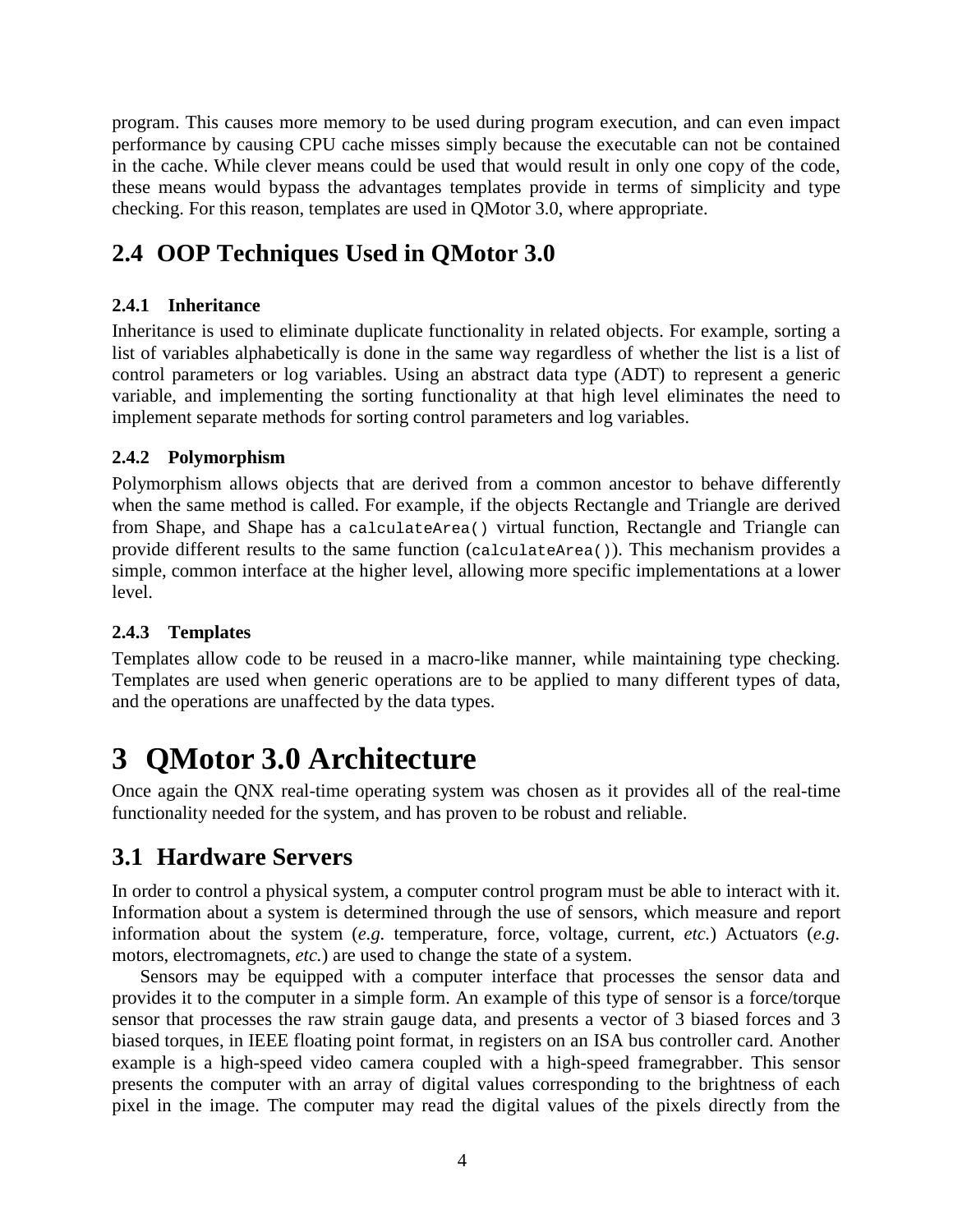program. This causes more memory to be used during program execution, and can even impact performance by causing CPU cache misses simply because the executable can not be contained in the cache. While clever means could be used that would result in only one copy of the code, these means would bypass the advantages templates provide in terms of simplicity and type checking. For this reason, templates are used in QMotor 3.0, where appropriate.

## **2.4 OOP Techniques Used in QMotor 3.0**

### **2.4.1 Inheritance**

Inheritance is used to eliminate duplicate functionality in related objects. For example, sorting a list of variables alphabetically is done in the same way regardless of whether the list is a list of control parameters or log variables. Using an abstract data type (ADT) to represent a generic variable, and implementing the sorting functionality at that high level eliminates the need to implement separate methods for sorting control parameters and log variables.

#### **2.4.2 Polymorphism**

Polymorphism allows objects that are derived from a common ancestor to behave differently when the same method is called. For example, if the objects Rectangle and Triangle are derived from Shape, and Shape has a calculateArea() virtual function, Rectangle and Triangle can provide different results to the same function (calculateArea()). This mechanism provides a simple, common interface at the higher level, allowing more specific implementations at a lower level.

### **2.4.3 Templates**

Templates allow code to be reused in a macro-like manner, while maintaining type checking. Templates are used when generic operations are to be applied to many different types of data, and the operations are unaffected by the data types.

# **3 QMotor 3.0 Architecture**

Once again the QNX real-time operating system was chosen as it provides all of the real-time functionality needed for the system, and has proven to be robust and reliable.

## **3.1 Hardware Servers**

In order to control a physical system, a computer control program must be able to interact with it. Information about a system is determined through the use of sensors, which measure and report information about the system (*e.g.* temperature, force, voltage, current, *etc.*) Actuators (*e.g.* motors, electromagnets, *etc.*) are used to change the state of a system.

Sensors may be equipped with a computer interface that processes the sensor data and provides it to the computer in a simple form. An example of this type of sensor is a force/torque sensor that processes the raw strain gauge data, and presents a vector of 3 biased forces and 3 biased torques, in IEEE floating point format, in registers on an ISA bus controller card. Another example is a high-speed video camera coupled with a high-speed framegrabber. This sensor presents the computer with an array of digital values corresponding to the brightness of each pixel in the image. The computer may read the digital values of the pixels directly from the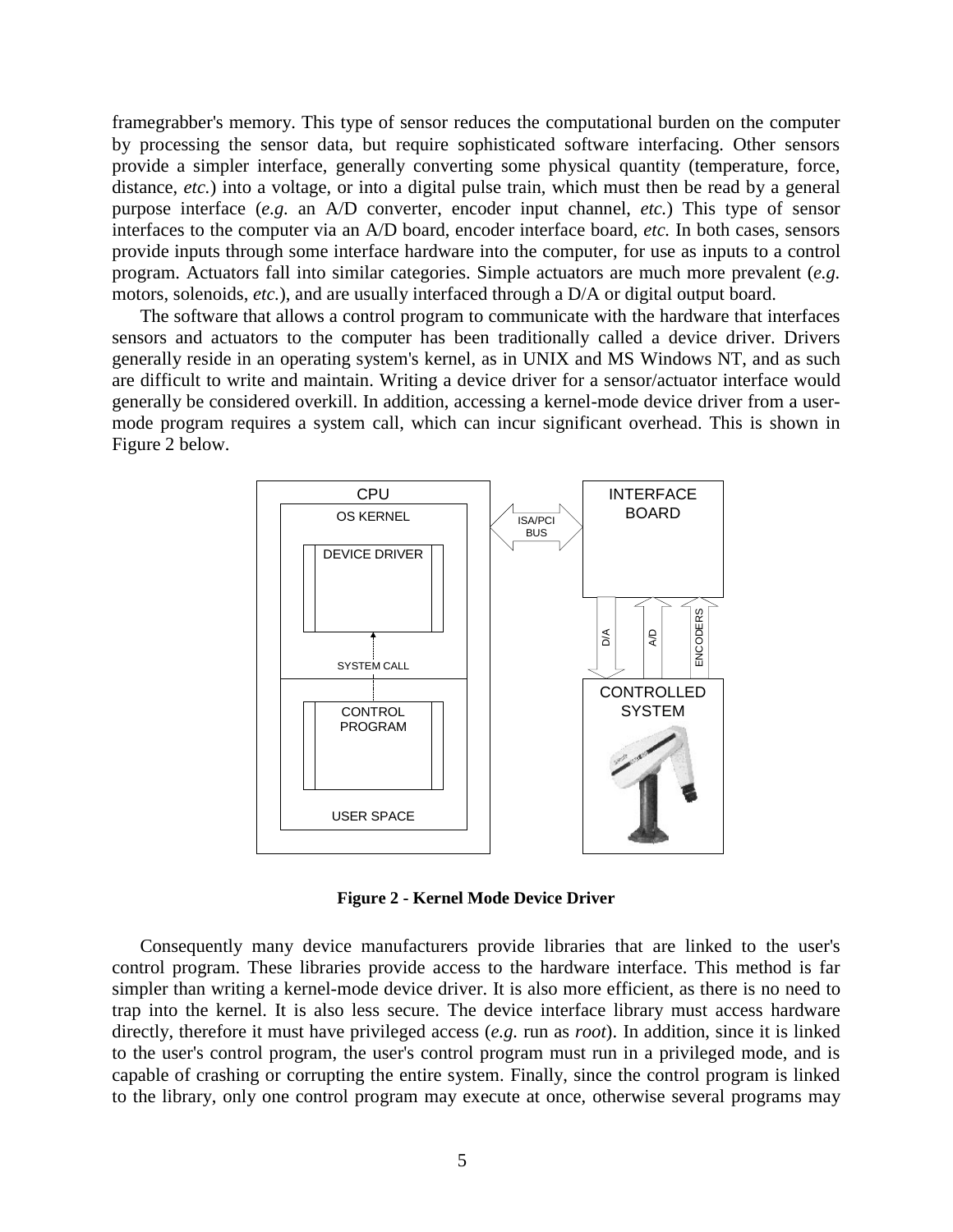framegrabber's memory. This type of sensor reduces the computational burden on the computer by processing the sensor data, but require sophisticated software interfacing. Other sensors provide a simpler interface, generally converting some physical quantity (temperature, force, distance, *etc.*) into a voltage, or into a digital pulse train, which must then be read by a general purpose interface (*e.g.* an A/D converter, encoder input channel, *etc.*) This type of sensor interfaces to the computer via an A/D board, encoder interface board, *etc.* In both cases, sensors provide inputs through some interface hardware into the computer, for use as inputs to a control program. Actuators fall into similar categories. Simple actuators are much more prevalent (*e.g.* motors, solenoids, *etc.*), and are usually interfaced through a D/A or digital output board.

The software that allows a control program to communicate with the hardware that interfaces sensors and actuators to the computer has been traditionally called a device driver. Drivers generally reside in an operating system's kernel, as in UNIX and MS Windows NT, and as such are difficult to write and maintain. Writing a device driver for a sensor/actuator interface would generally be considered overkill. In addition, accessing a kernel-mode device driver from a usermode program requires a system call, which can incur significant overhead. This is shown in Figure 2 below.



**Figure 2 - Kernel Mode Device Driver**

Consequently many device manufacturers provide libraries that are linked to the user's control program. These libraries provide access to the hardware interface. This method is far simpler than writing a kernel-mode device driver. It is also more efficient, as there is no need to trap into the kernel. It is also less secure. The device interface library must access hardware directly, therefore it must have privileged access (*e.g.* run as *root*). In addition, since it is linked to the user's control program, the user's control program must run in a privileged mode, and is capable of crashing or corrupting the entire system. Finally, since the control program is linked to the library, only one control program may execute at once, otherwise several programs may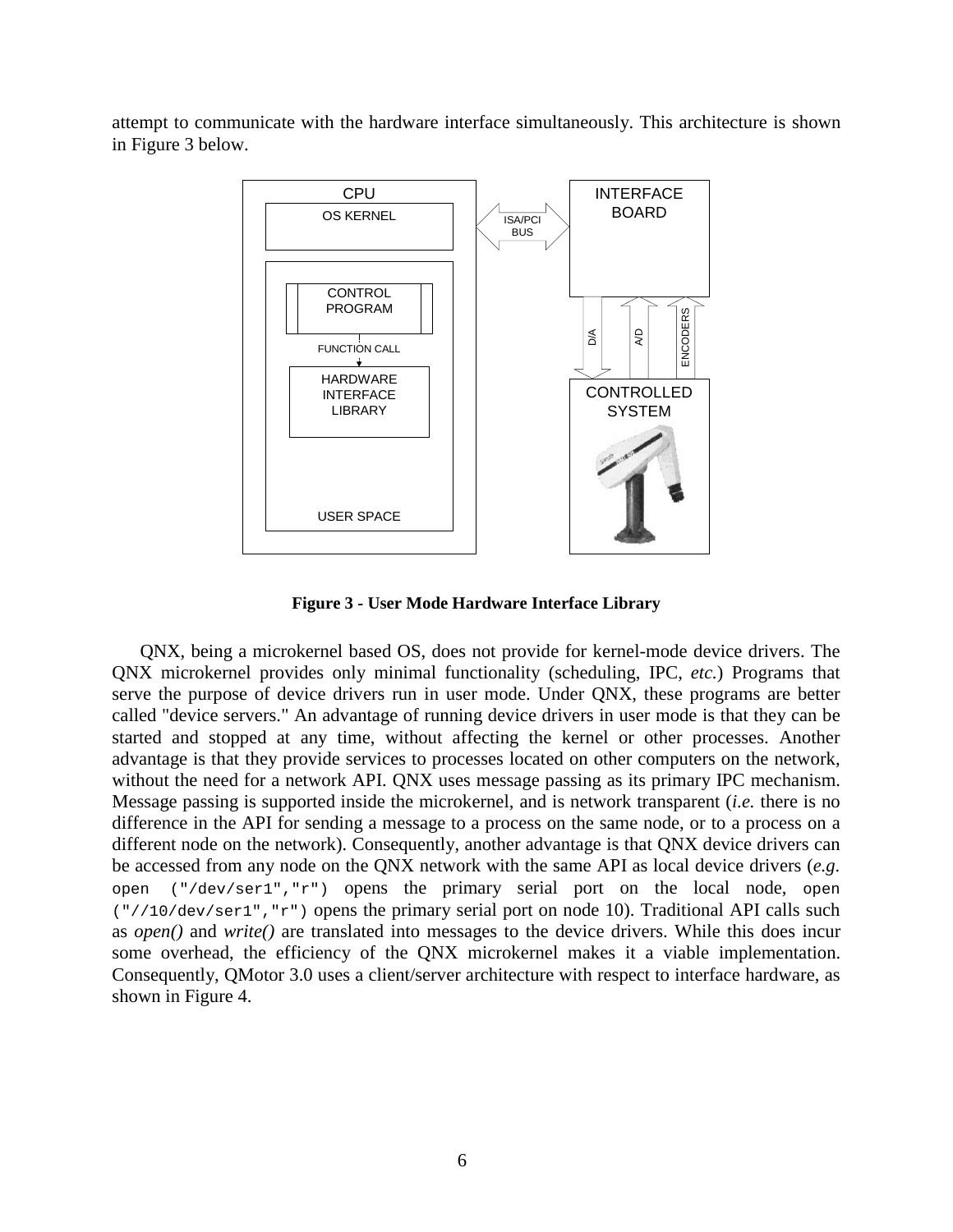attempt to communicate with the hardware interface simultaneously. This architecture is shown in Figure 3 below.



**Figure 3 - User Mode Hardware Interface Library**

QNX, being a microkernel based OS, does not provide for kernel-mode device drivers. The QNX microkernel provides only minimal functionality (scheduling, IPC, *etc.*) Programs that serve the purpose of device drivers run in user mode. Under QNX, these programs are better called "device servers." An advantage of running device drivers in user mode is that they can be started and stopped at any time, without affecting the kernel or other processes. Another advantage is that they provide services to processes located on other computers on the network, without the need for a network API. QNX uses message passing as its primary IPC mechanism. Message passing is supported inside the microkernel, and is network transparent (*i.e.* there is no difference in the API for sending a message to a process on the same node, or to a process on a different node on the network). Consequently, another advantage is that QNX device drivers can be accessed from any node on the QNX network with the same API as local device drivers (*e.g.* open ("/dev/ser1","r") opens the primary serial port on the local node, open ("//10/dev/ser1","r") opens the primary serial port on node 10). Traditional API calls such as *open()* and *write()* are translated into messages to the device drivers. While this does incur some overhead, the efficiency of the QNX microkernel makes it a viable implementation. Consequently, QMotor 3.0 uses a client/server architecture with respect to interface hardware, as shown in Figure 4.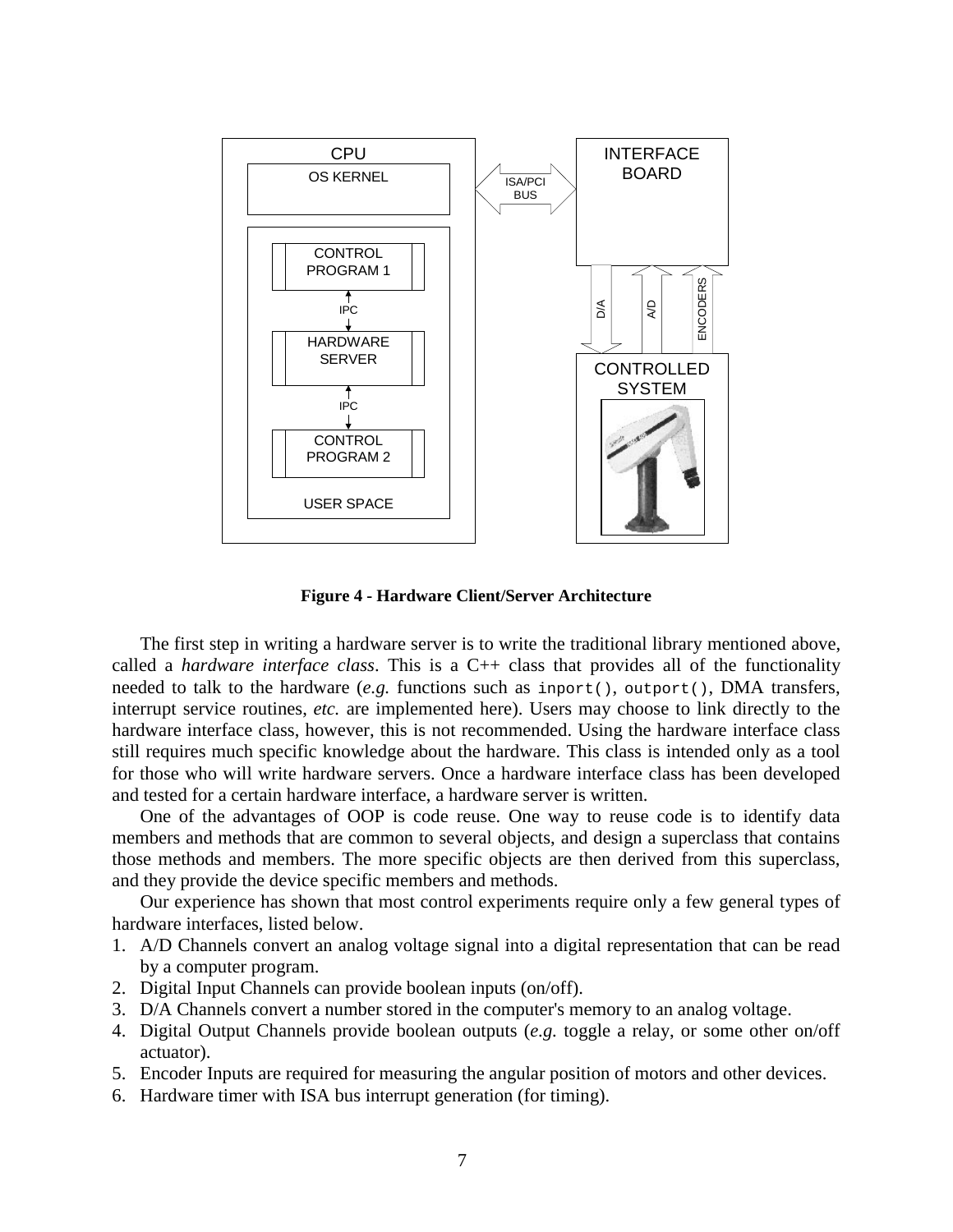

**Figure 4 - Hardware Client/Server Architecture**

The first step in writing a hardware server is to write the traditional library mentioned above, called a *hardware interface class*. This is a C++ class that provides all of the functionality needed to talk to the hardware (*e.g.* functions such as inport(), outport(), DMA transfers, interrupt service routines, *etc.* are implemented here). Users may choose to link directly to the hardware interface class, however, this is not recommended. Using the hardware interface class still requires much specific knowledge about the hardware. This class is intended only as a tool for those who will write hardware servers. Once a hardware interface class has been developed and tested for a certain hardware interface, a hardware server is written.

One of the advantages of OOP is code reuse. One way to reuse code is to identify data members and methods that are common to several objects, and design a superclass that contains those methods and members. The more specific objects are then derived from this superclass, and they provide the device specific members and methods.

Our experience has shown that most control experiments require only a few general types of hardware interfaces, listed below.

- 1. A/D Channels convert an analog voltage signal into a digital representation that can be read by a computer program.
- 2. Digital Input Channels can provide boolean inputs (on/off).
- 3. D/A Channels convert a number stored in the computer's memory to an analog voltage.
- 4. Digital Output Channels provide boolean outputs (*e.g.* toggle a relay, or some other on/off actuator).
- 5. Encoder Inputs are required for measuring the angular position of motors and other devices.
- 6. Hardware timer with ISA bus interrupt generation (for timing).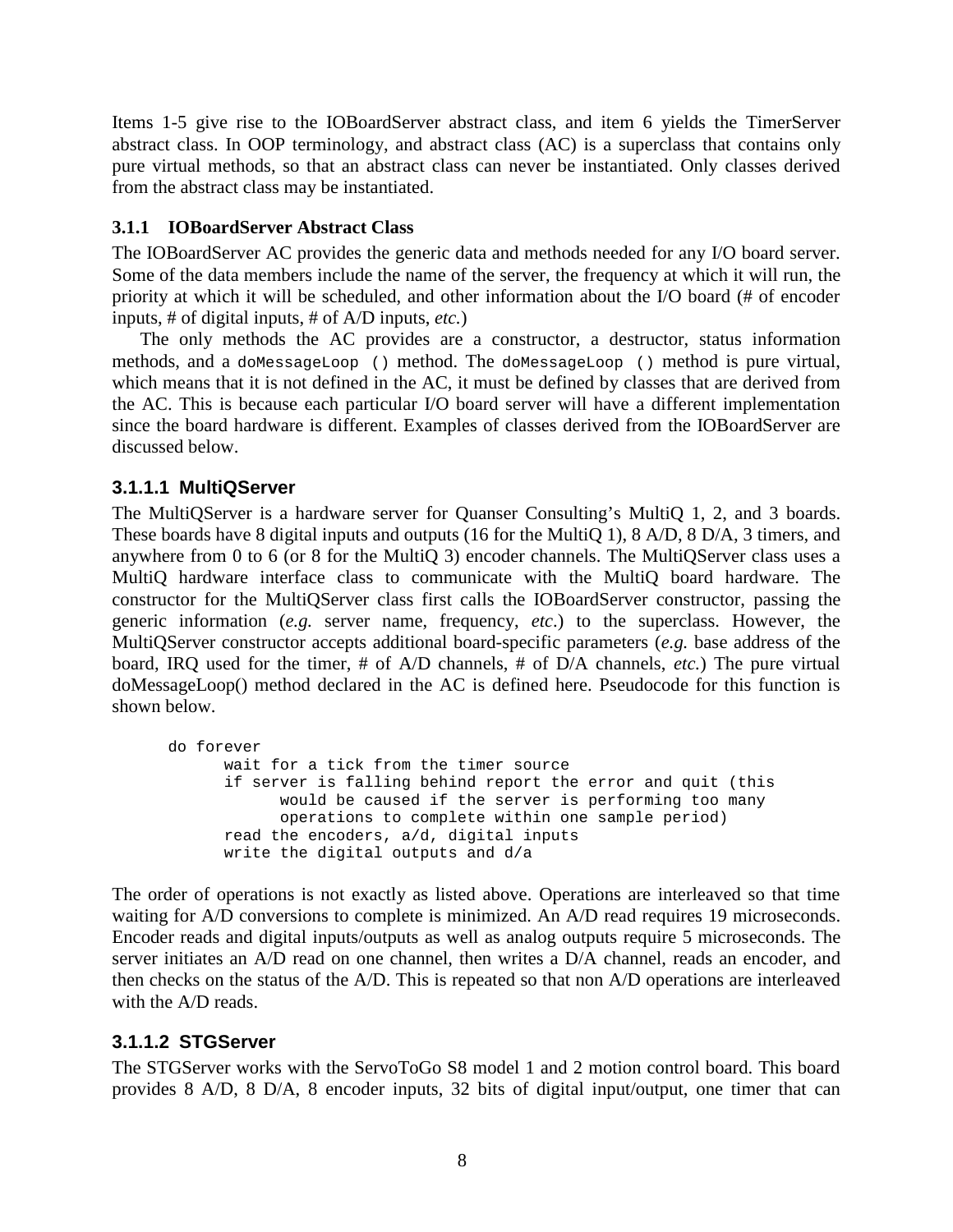Items 1-5 give rise to the IOBoardServer abstract class, and item 6 yields the TimerServer abstract class. In OOP terminology, and abstract class (AC) is a superclass that contains only pure virtual methods, so that an abstract class can never be instantiated. Only classes derived from the abstract class may be instantiated.

### **3.1.1 IOBoardServer Abstract Class**

The IOBoardServer AC provides the generic data and methods needed for any I/O board server. Some of the data members include the name of the server, the frequency at which it will run, the priority at which it will be scheduled, and other information about the I/O board (# of encoder inputs, # of digital inputs, # of A/D inputs, *etc.*)

The only methods the AC provides are a constructor, a destructor, status information methods, and a doMessageLoop () method. The doMessageLoop () method is pure virtual, which means that it is not defined in the AC, it must be defined by classes that are derived from the AC. This is because each particular I/O board server will have a different implementation since the board hardware is different. Examples of classes derived from the IOBoardServer are discussed below.

### **3.1.1.1 MultiQServer**

The MultiQServer is a hardware server for Quanser Consulting's MultiQ 1, 2, and 3 boards. These boards have 8 digital inputs and outputs (16 for the MultiQ 1), 8 A/D, 8 D/A, 3 timers, and anywhere from 0 to 6 (or 8 for the MultiQ 3) encoder channels. The MultiQServer class uses a MultiQ hardware interface class to communicate with the MultiQ board hardware. The constructor for the MultiQServer class first calls the IOBoardServer constructor, passing the generic information (*e.g.* server name, frequency, *etc*.) to the superclass. However, the MultiQServer constructor accepts additional board-specific parameters (*e.g.* base address of the board, IRQ used for the timer, # of A/D channels, # of D/A channels, *etc.*) The pure virtual doMessageLoop() method declared in the AC is defined here. Pseudocode for this function is shown below.

```
do forever
     wait for a tick from the timer source
      if server is falling behind report the error and quit (this
            would be caused if the server is performing too many
            operations to complete within one sample period)
     read the encoders, a/d, digital inputs
      write the digital outputs and d/a
```
The order of operations is not exactly as listed above. Operations are interleaved so that time waiting for A/D conversions to complete is minimized. An A/D read requires 19 microseconds. Encoder reads and digital inputs/outputs as well as analog outputs require 5 microseconds. The server initiates an A/D read on one channel, then writes a D/A channel, reads an encoder, and then checks on the status of the A/D. This is repeated so that non A/D operations are interleaved with the A/D reads.

### **3.1.1.2 STGServer**

The STGServer works with the ServoToGo S8 model 1 and 2 motion control board. This board provides 8 A/D, 8 D/A, 8 encoder inputs, 32 bits of digital input/output, one timer that can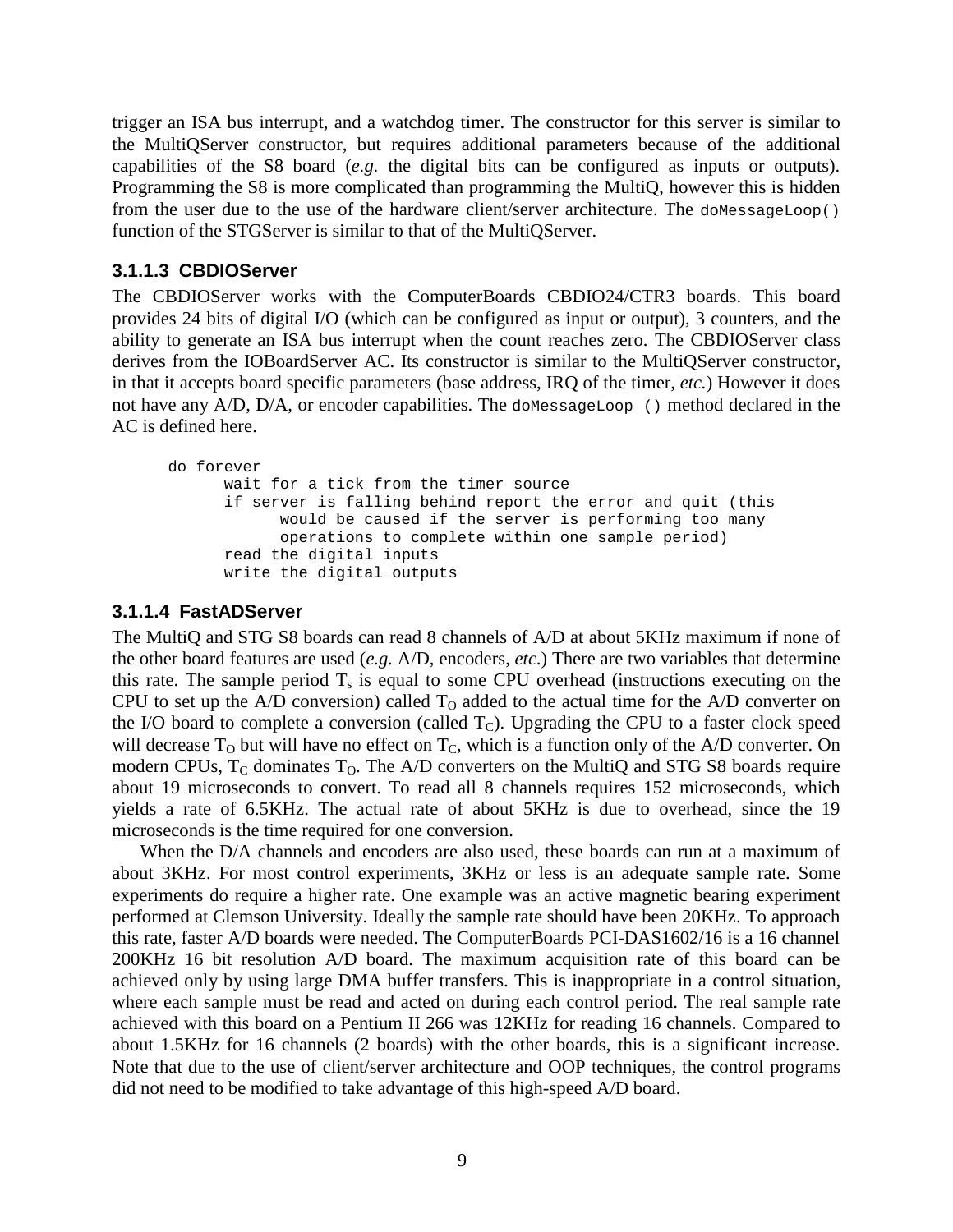trigger an ISA bus interrupt, and a watchdog timer. The constructor for this server is similar to the MultiQServer constructor, but requires additional parameters because of the additional capabilities of the S8 board (*e.g.* the digital bits can be configured as inputs or outputs). Programming the S8 is more complicated than programming the MultiQ, however this is hidden from the user due to the use of the hardware client/server architecture. The doMessageLoop() function of the STGServer is similar to that of the MultiQServer.

#### **3.1.1.3 CBDIOServer**

The CBDIOServer works with the ComputerBoards CBDIO24/CTR3 boards. This board provides 24 bits of digital I/O (which can be configured as input or output), 3 counters, and the ability to generate an ISA bus interrupt when the count reaches zero. The CBDIOServer class derives from the IOBoardServer AC. Its constructor is similar to the MultiQServer constructor, in that it accepts board specific parameters (base address, IRQ of the timer, *etc.*) However it does not have any A/D, D/A, or encoder capabilities. The domessageLoop () method declared in the AC is defined here.

```
do forever
      wait for a tick from the timer source
      if server is falling behind report the error and quit (this
            would be caused if the server is performing too many
            operations to complete within one sample period)
     read the digital inputs
     write the digital outputs
```
#### **3.1.1.4 FastADServer**

The MultiQ and STG S8 boards can read 8 channels of A/D at about 5KHz maximum if none of the other board features are used (*e.g.* A/D, encoders, *etc*.) There are two variables that determine this rate. The sample period  $T_s$  is equal to some CPU overhead (instructions executing on the CPU to set up the A/D conversion) called  $T<sub>O</sub>$  added to the actual time for the A/D converter on the I/O board to complete a conversion (called  $T<sub>C</sub>$ ). Upgrading the CPU to a faster clock speed will decrease  $T_0$  but will have no effect on  $T_C$ , which is a function only of the A/D converter. On modern CPUs,  $T_C$  dominates  $T_O$ . The A/D converters on the MultiQ and STG S8 boards require about 19 microseconds to convert. To read all 8 channels requires 152 microseconds, which yields a rate of 6.5KHz. The actual rate of about 5KHz is due to overhead, since the 19 microseconds is the time required for one conversion.

When the  $D/A$  channels and encoders are also used, these boards can run at a maximum of about 3KHz. For most control experiments, 3KHz or less is an adequate sample rate. Some experiments do require a higher rate. One example was an active magnetic bearing experiment performed at Clemson University. Ideally the sample rate should have been 20KHz. To approach this rate, faster A/D boards were needed. The ComputerBoards PCI-DAS1602/16 is a 16 channel 200KHz 16 bit resolution A/D board. The maximum acquisition rate of this board can be achieved only by using large DMA buffer transfers. This is inappropriate in a control situation, where each sample must be read and acted on during each control period. The real sample rate achieved with this board on a Pentium II 266 was 12KHz for reading 16 channels. Compared to about 1.5KHz for 16 channels (2 boards) with the other boards, this is a significant increase. Note that due to the use of client/server architecture and OOP techniques, the control programs did not need to be modified to take advantage of this high-speed A/D board.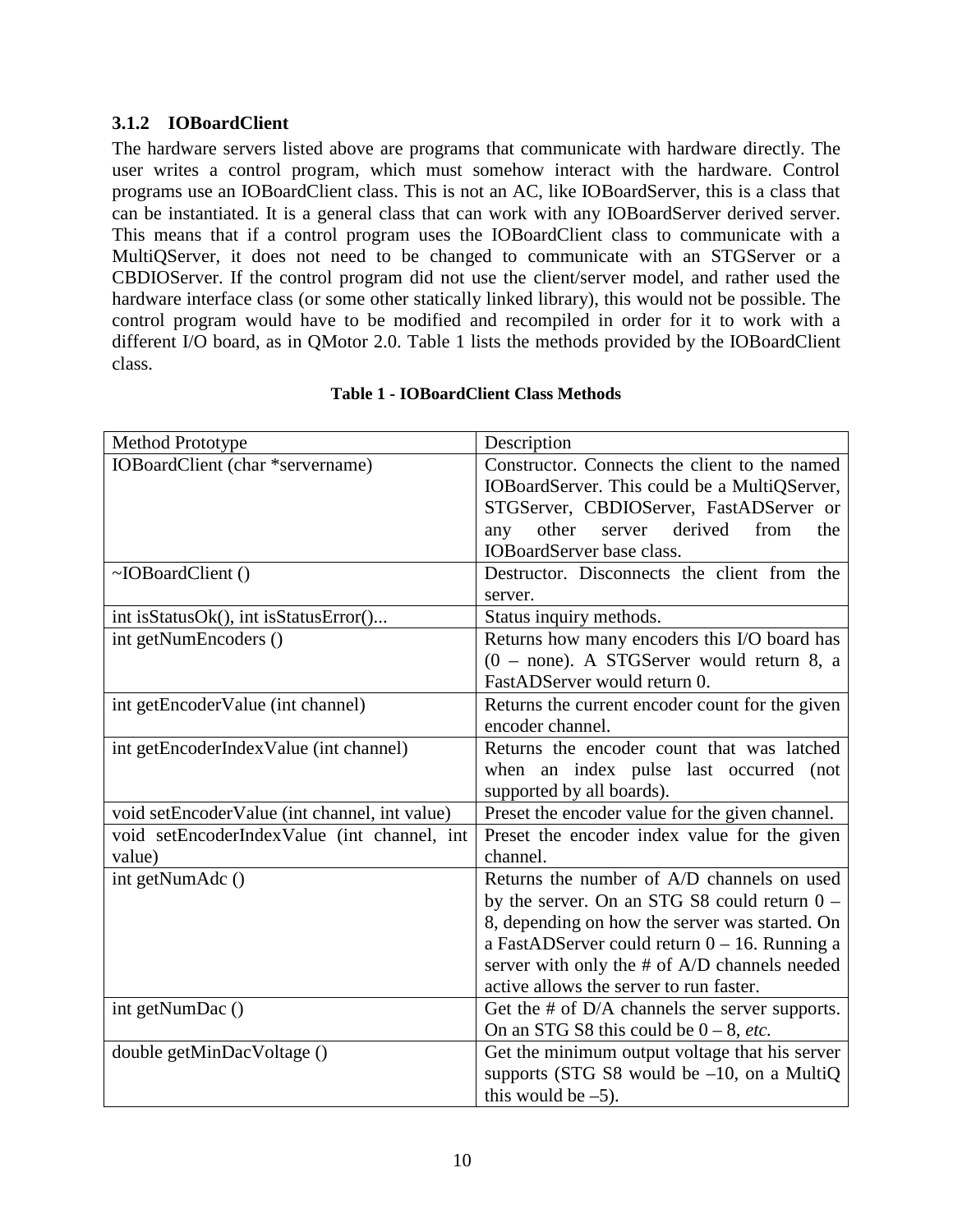#### **3.1.2 IOBoardClient**

The hardware servers listed above are programs that communicate with hardware directly. The user writes a control program, which must somehow interact with the hardware. Control programs use an IOBoardClient class. This is not an AC, like IOBoardServer, this is a class that can be instantiated. It is a general class that can work with any IOBoardServer derived server. This means that if a control program uses the IOBoardClient class to communicate with a MultiQServer, it does not need to be changed to communicate with an STGServer or a CBDIOServer. If the control program did not use the client/server model, and rather used the hardware interface class (or some other statically linked library), this would not be possible. The control program would have to be modified and recompiled in order for it to work with a different I/O board, as in QMotor 2.0. Table 1 lists the methods provided by the IOBoardClient class.

| Method Prototype                              | Description                                       |
|-----------------------------------------------|---------------------------------------------------|
| IOBoardClient (char *servername)              | Constructor. Connects the client to the named     |
|                                               | IOBoardServer. This could be a MultiQServer,      |
|                                               | STGServer, CBDIOServer, FastADServer or           |
|                                               | derived<br>from<br>other<br>the<br>server<br>any  |
|                                               | <b>IOBoardServer</b> base class.                  |
| ~IOBoardClient ()                             | Destructor. Disconnects the client from the       |
|                                               | server.                                           |
| int isStatusOk(), int isStatusError()         | Status inquiry methods.                           |
| int getNumEncoders ()                         | Returns how many encoders this I/O board has      |
|                                               | $(0 - none)$ . A STGServer would return 8, a      |
|                                               | FastADServer would return 0.                      |
| int getEncoderValue (int channel)             | Returns the current encoder count for the given   |
|                                               | encoder channel.                                  |
| int getEncoderIndexValue (int channel)        | Returns the encoder count that was latched        |
|                                               | when an index pulse last occurred (not            |
|                                               | supported by all boards).                         |
| void setEncoderValue (int channel, int value) | Preset the encoder value for the given channel.   |
| void setEncoderIndexValue (int channel, int   | Preset the encoder index value for the given      |
| value)                                        | channel.                                          |
| int getNumAdc ()                              | Returns the number of A/D channels on used        |
|                                               | by the server. On an STG S8 could return 0 -      |
|                                               | 8, depending on how the server was started. On    |
|                                               | a FastADServer could return $0 - 16$ . Running a  |
|                                               | server with only the # of A/D channels needed     |
|                                               | active allows the server to run faster.           |
| int getNumDac ()                              | Get the $#$ of D/A channels the server supports.  |
|                                               | On an STG S8 this could be $0 - 8$ , <i>etc</i> . |
| double getMinDacVoltage ()                    | Get the minimum output voltage that his server    |
|                                               | supports (STG S8 would be $-10$ , on a MultiQ     |
|                                               | this would be $-5$ ).                             |

#### **Table 1 - IOBoardClient Class Methods**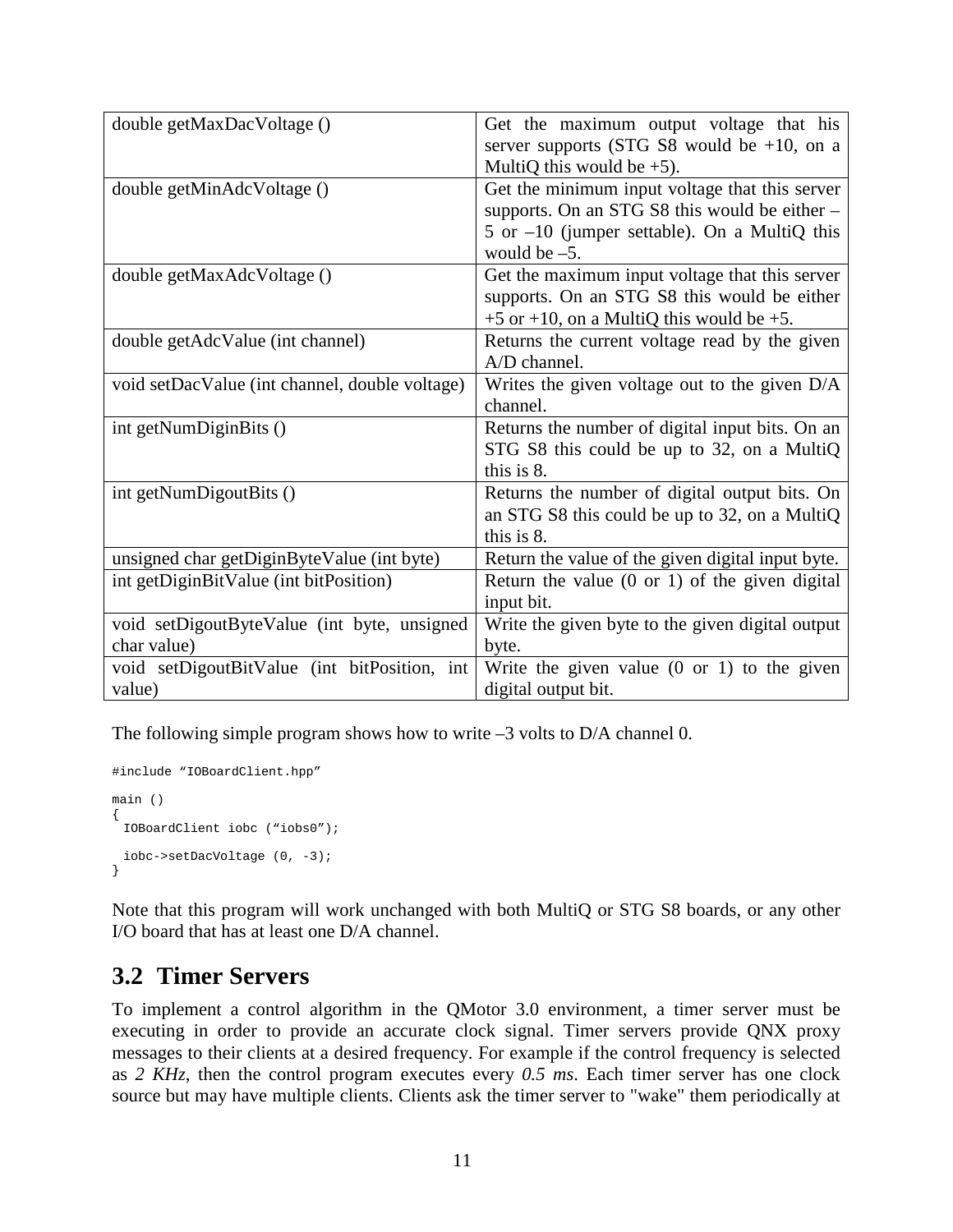| double getMaxDacVoltage ()                     | Get the maximum output voltage that his                   |
|------------------------------------------------|-----------------------------------------------------------|
|                                                | server supports (STG S8 would be $+10$ , on a             |
|                                                | MultiQ this would be $+5$ ).                              |
| double getMinAdcVoltage ()                     | Get the minimum input voltage that this server            |
|                                                | supports. On an STG S8 this would be either –             |
|                                                | 5 or $-10$ (jumper settable). On a MultiQ this            |
|                                                | would be $-5$ .                                           |
| double getMaxAdcVoltage ()                     | Get the maximum input voltage that this server            |
|                                                | supports. On an STG S8 this would be either               |
|                                                | $+5$ or $+10$ , on a MultiQ this would be $+5$ .          |
| double getAdcValue (int channel)               | Returns the current voltage read by the given             |
|                                                | A/D channel.                                              |
| void setDacValue (int channel, double voltage) | Writes the given voltage out to the given D/A             |
|                                                | channel.                                                  |
| int getNumDiginBits ()                         | Returns the number of digital input bits. On an           |
|                                                | STG S8 this could be up to 32, on a MultiQ                |
|                                                | this is 8.                                                |
| int getNumDigoutBits ()                        | Returns the number of digital output bits. On             |
|                                                | an STG S8 this could be up to 32, on a MultiQ             |
|                                                | this is 8.                                                |
| unsigned char getDiginByteValue (int byte)     | Return the value of the given digital input byte.         |
| int getDiginBitValue (int bitPosition)         | Return the value $(0 \text{ or } 1)$ of the given digital |
|                                                | input bit.                                                |
| void setDigoutByteValue (int byte, unsigned    | Write the given byte to the given digital output          |
| char value)                                    | byte.                                                     |
| void setDigoutBitValue (int bitPosition, int   | Write the given value $(0 \text{ or } 1)$ to the given    |
| value)                                         | digital output bit.                                       |

The following simple program shows how to write  $-3$  volts to D/A channel 0.

```
#include "IOBoardClient.hpp"
main ()
{
 IOBoardClient iobc ("iobs0");
 iobc->setDacVoltage (0, -3);
}
```
Note that this program will work unchanged with both MultiQ or STG S8 boards, or any other I/O board that has at least one D/A channel.

### **3.2 Timer Servers**

To implement a control algorithm in the QMotor 3.0 environment, a timer server must be executing in order to provide an accurate clock signal. Timer servers provide QNX proxy messages to their clients at a desired frequency. For example if the control frequency is selected as *2 KHz*, then the control program executes every *0.5 ms*. Each timer server has one clock source but may have multiple clients. Clients ask the timer server to "wake" them periodically at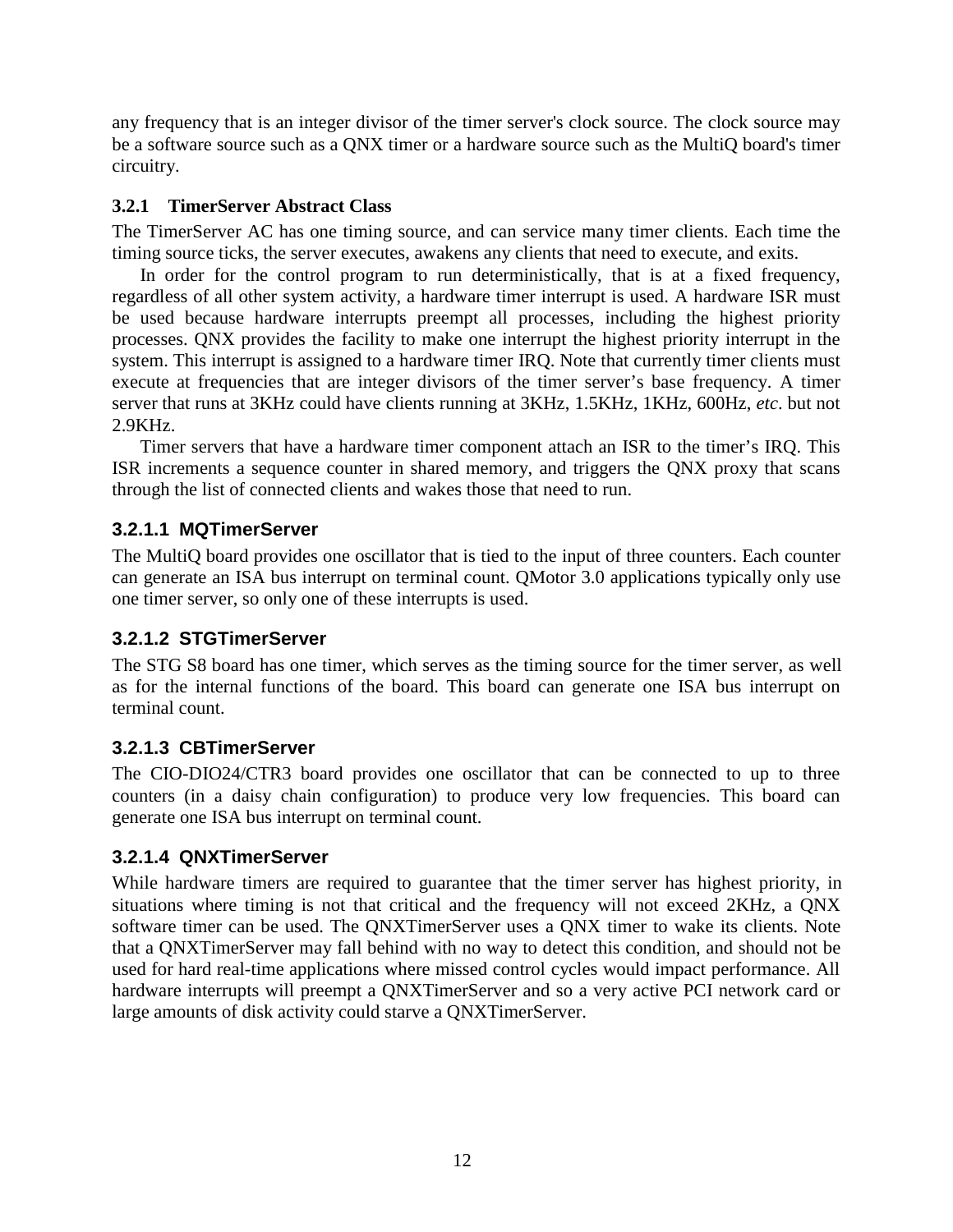any frequency that is an integer divisor of the timer server's clock source. The clock source may be a software source such as a QNX timer or a hardware source such as the MultiQ board's timer circuitry.

#### **3.2.1 TimerServer Abstract Class**

The TimerServer AC has one timing source, and can service many timer clients. Each time the timing source ticks, the server executes, awakens any clients that need to execute, and exits.

In order for the control program to run deterministically, that is at a fixed frequency, regardless of all other system activity, a hardware timer interrupt is used. A hardware ISR must be used because hardware interrupts preempt all processes, including the highest priority processes. QNX provides the facility to make one interrupt the highest priority interrupt in the system. This interrupt is assigned to a hardware timer IRO. Note that currently timer clients must execute at frequencies that are integer divisors of the timer server's base frequency. A timer server that runs at 3KHz could have clients running at 3KHz, 1.5KHz, 1KHz, 600Hz, *etc*. but not 2.9KHz.

Timer servers that have a hardware timer component attach an ISR to the timer's IRQ. This ISR increments a sequence counter in shared memory, and triggers the QNX proxy that scans through the list of connected clients and wakes those that need to run.

### **3.2.1.1 MQTimerServer**

The MultiQ board provides one oscillator that is tied to the input of three counters. Each counter can generate an ISA bus interrupt on terminal count. QMotor 3.0 applications typically only use one timer server, so only one of these interrupts is used.

### **3.2.1.2 STGTimerServer**

The STG S8 board has one timer, which serves as the timing source for the timer server, as well as for the internal functions of the board. This board can generate one ISA bus interrupt on terminal count.

### **3.2.1.3 CBTimerServer**

The CIO-DIO24/CTR3 board provides one oscillator that can be connected to up to three counters (in a daisy chain configuration) to produce very low frequencies. This board can generate one ISA bus interrupt on terminal count.

### **3.2.1.4 QNXTimerServer**

While hardware timers are required to guarantee that the timer server has highest priority, in situations where timing is not that critical and the frequency will not exceed 2KHz, a QNX software timer can be used. The QNXTimerServer uses a QNX timer to wake its clients. Note that a QNXTimerServer may fall behind with no way to detect this condition, and should not be used for hard real-time applications where missed control cycles would impact performance. All hardware interrupts will preempt a QNXTimerServer and so a very active PCI network card or large amounts of disk activity could starve a QNXTimerServer.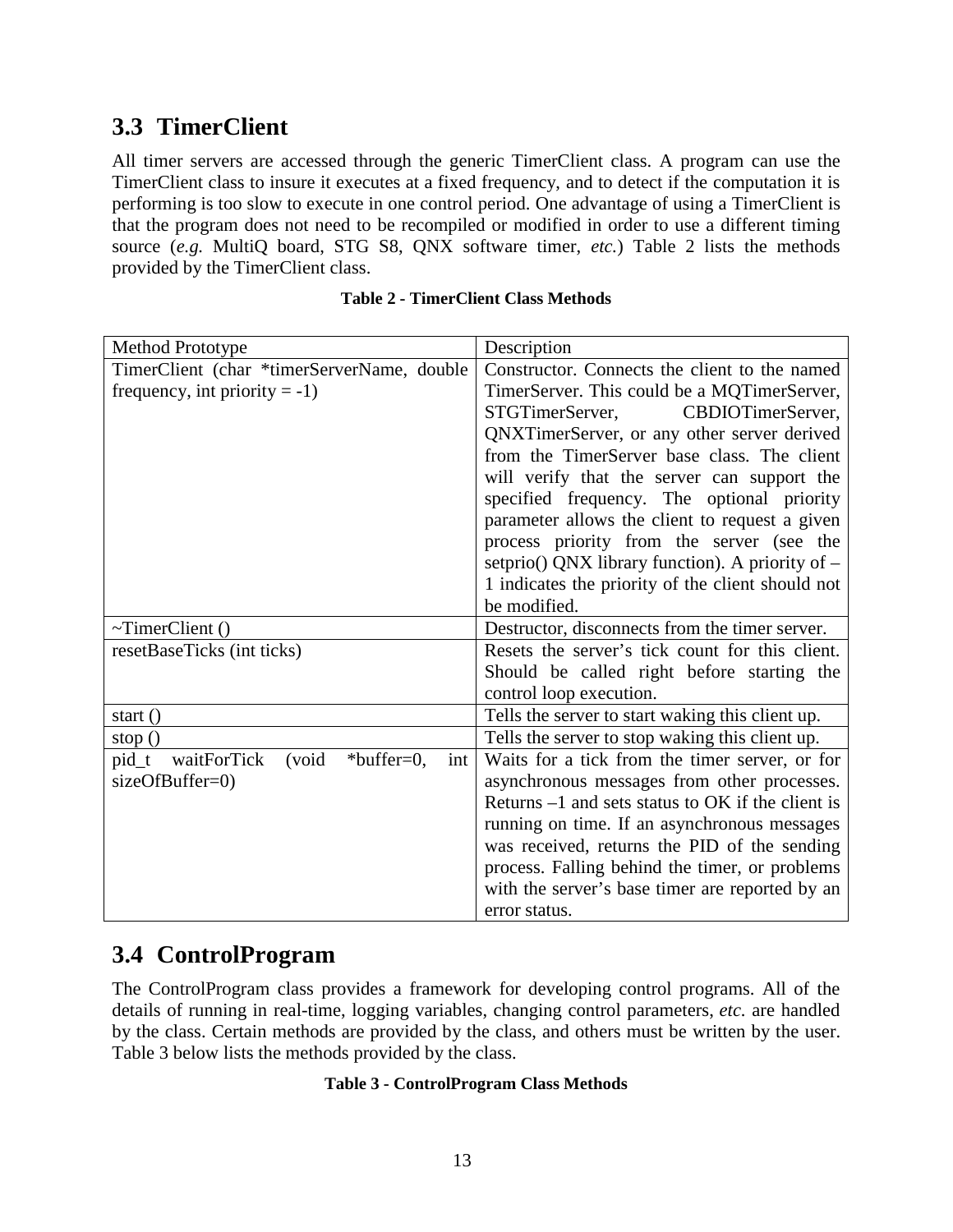## **3.3 TimerClient**

All timer servers are accessed through the generic TimerClient class. A program can use the TimerClient class to insure it executes at a fixed frequency, and to detect if the computation it is performing is too slow to execute in one control period. One advantage of using a TimerClient is that the program does not need to be recompiled or modified in order to use a different timing source (*e.g.* MultiQ board, STG S8, QNX software timer, *etc.*) Table 2 lists the methods provided by the TimerClient class.

| Method Prototype                                      | Description                                         |
|-------------------------------------------------------|-----------------------------------------------------|
| TimerClient (char *timerServerName, double            | Constructor. Connects the client to the named       |
| frequency, int priority $= -1$ )                      | TimerServer. This could be a MQTimerServer,         |
|                                                       | STGTimerServer,<br>CBDIOTimerServer,                |
|                                                       | QNXTimerServer, or any other server derived         |
|                                                       | from the TimerServer base class. The client         |
|                                                       | will verify that the server can support the         |
|                                                       | specified frequency. The optional priority          |
|                                                       | parameter allows the client to request a given      |
|                                                       | process priority from the server (see the           |
|                                                       | setprio() QNX library function). A priority of $-$  |
|                                                       | 1 indicates the priority of the client should not   |
|                                                       | be modified.                                        |
| $\sim$ TimerClient ()                                 | Destructor, disconnects from the timer server.      |
| resetBaseTicks (int ticks)                            | Resets the server's tick count for this client.     |
|                                                       | Should be called right before starting the          |
|                                                       | control loop execution.                             |
| start $()$                                            | Tells the server to start waking this client up.    |
| stop $()$                                             | Tells the server to stop waking this client up.     |
| waitForTick<br>(void<br>$*$ buffer=0,<br>pid_t<br>int | Waits for a tick from the timer server, or for      |
| sizeOfBuffer=0)                                       | asynchronous messages from other processes.         |
|                                                       | Returns $-1$ and sets status to OK if the client is |
|                                                       | running on time. If an asynchronous messages        |
|                                                       | was received, returns the PID of the sending        |
|                                                       | process. Falling behind the timer, or problems      |
|                                                       | with the server's base timer are reported by an     |
|                                                       | error status.                                       |

|  | <b>Table 2 - TimerClient Class Methods</b> |  |  |
|--|--------------------------------------------|--|--|
|--|--------------------------------------------|--|--|

## **3.4 ControlProgram**

The ControlProgram class provides a framework for developing control programs. All of the details of running in real-time, logging variables, changing control parameters, *etc.* are handled by the class. Certain methods are provided by the class, and others must be written by the user. Table 3 below lists the methods provided by the class.

#### **Table 3 - ControlProgram Class Methods**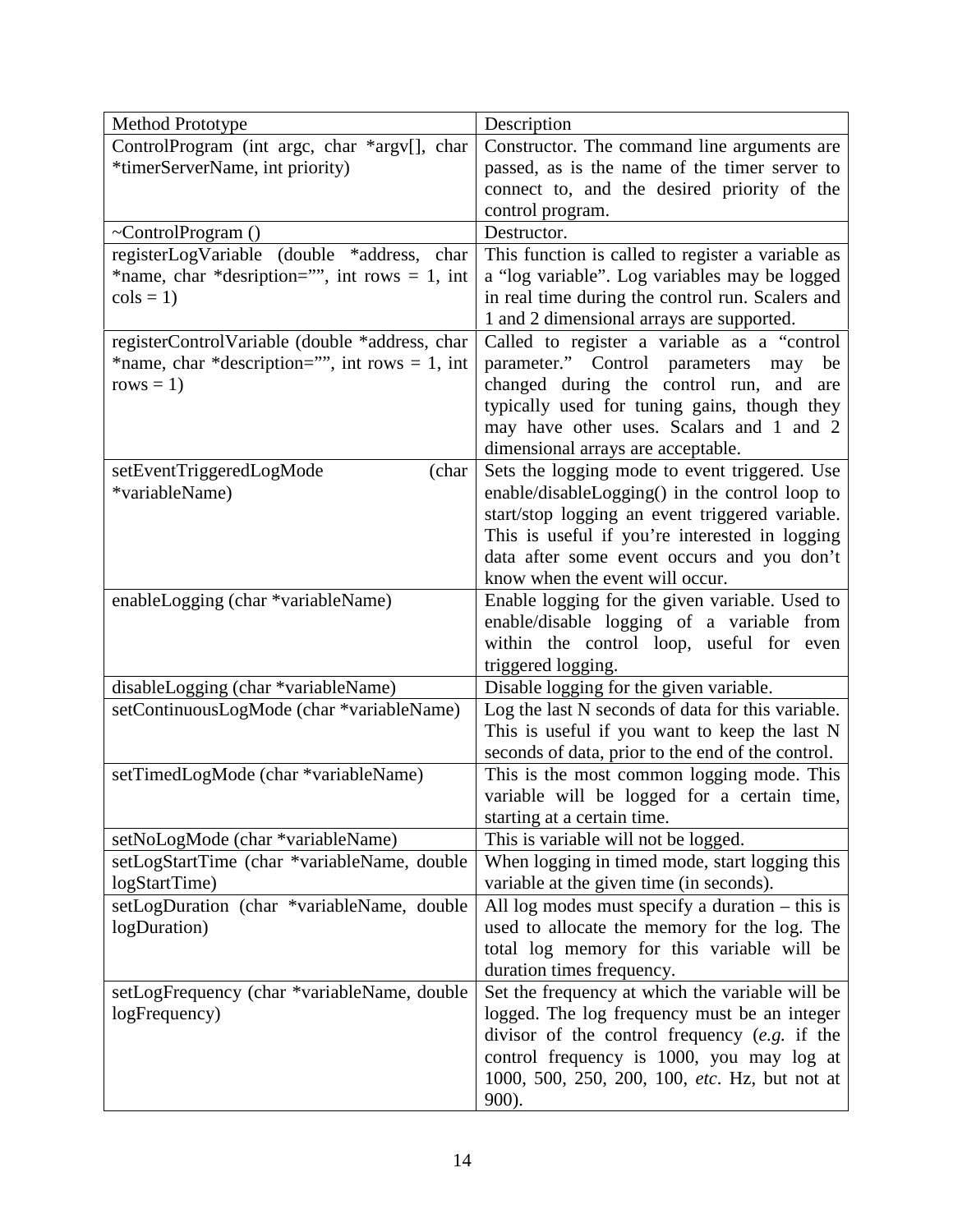| Method Prototype                                              | Description                                                                                        |
|---------------------------------------------------------------|----------------------------------------------------------------------------------------------------|
| ControlProgram (int argc, char *argv[], char                  | Constructor. The command line arguments are                                                        |
| *timerServerName, int priority)                               | passed, as is the name of the timer server to                                                      |
|                                                               | connect to, and the desired priority of the                                                        |
|                                                               | control program.                                                                                   |
| $\sim$ ControlProgram ()                                      | Destructor.                                                                                        |
| registerLogVariable (double *address, char                    | This function is called to register a variable as                                                  |
| *name, char *desription="", int rows = 1, int                 | a "log variable". Log variables may be logged                                                      |
| $\text{cols} = 1$                                             | in real time during the control run. Scalers and                                                   |
|                                                               | 1 and 2 dimensional arrays are supported.                                                          |
| registerControlVariable (double *address, char                | Called to register a variable as a "control<br>parameter." Control parameters                      |
| *name, char *description="", int rows = 1, int<br>$rows = 1)$ | be<br>may<br>changed during the control run, and<br>are                                            |
|                                                               | typically used for tuning gains, though they                                                       |
|                                                               | may have other uses. Scalars and 1 and 2                                                           |
|                                                               | dimensional arrays are acceptable.                                                                 |
| setEventTriggeredLogMode<br>(char)                            | Sets the logging mode to event triggered. Use                                                      |
| *variableName)                                                | enable/disableLogging() in the control loop to                                                     |
|                                                               | start/stop logging an event triggered variable.                                                    |
|                                                               | This is useful if you're interested in logging                                                     |
|                                                               | data after some event occurs and you don't                                                         |
|                                                               | know when the event will occur.                                                                    |
| enableLogging (char *variableName)                            | Enable logging for the given variable. Used to                                                     |
|                                                               | enable/disable logging of a variable from                                                          |
|                                                               | within the control loop, useful for even                                                           |
|                                                               | triggered logging.                                                                                 |
| disableLogging (char *variableName)                           | Disable logging for the given variable.                                                            |
| setContinuousLogMode (char *variableName)                     | Log the last N seconds of data for this variable.<br>This is useful if you want to keep the last N |
|                                                               | seconds of data, prior to the end of the control.                                                  |
| setTimedLogMode (char *variableName)                          | This is the most common logging mode. This                                                         |
|                                                               | variable will be logged for a certain time,                                                        |
|                                                               | starting at a certain time.                                                                        |
| setNoLogMode (char *variableName)                             | This is variable will not be logged.                                                               |
| setLogStartTime (char *variableName, double                   | When logging in timed mode, start logging this                                                     |
| logStartTime)                                                 | variable at the given time (in seconds).                                                           |
| setLogDuration (char *variableName, double                    | All log modes must specify a duration $-$ this is                                                  |
| logDuration)                                                  | used to allocate the memory for the log. The                                                       |
|                                                               | total log memory for this variable will be                                                         |
|                                                               | duration times frequency.                                                                          |
| setLogFrequency (char *variableName, double                   | Set the frequency at which the variable will be                                                    |
| logFrequency)                                                 | logged. The log frequency must be an integer                                                       |
|                                                               | divisor of the control frequency $(e.g., if the)$                                                  |
|                                                               | control frequency is 1000, you may log at                                                          |
|                                                               | 1000, 500, 250, 200, 100, etc. Hz, but not at                                                      |
|                                                               | 900).                                                                                              |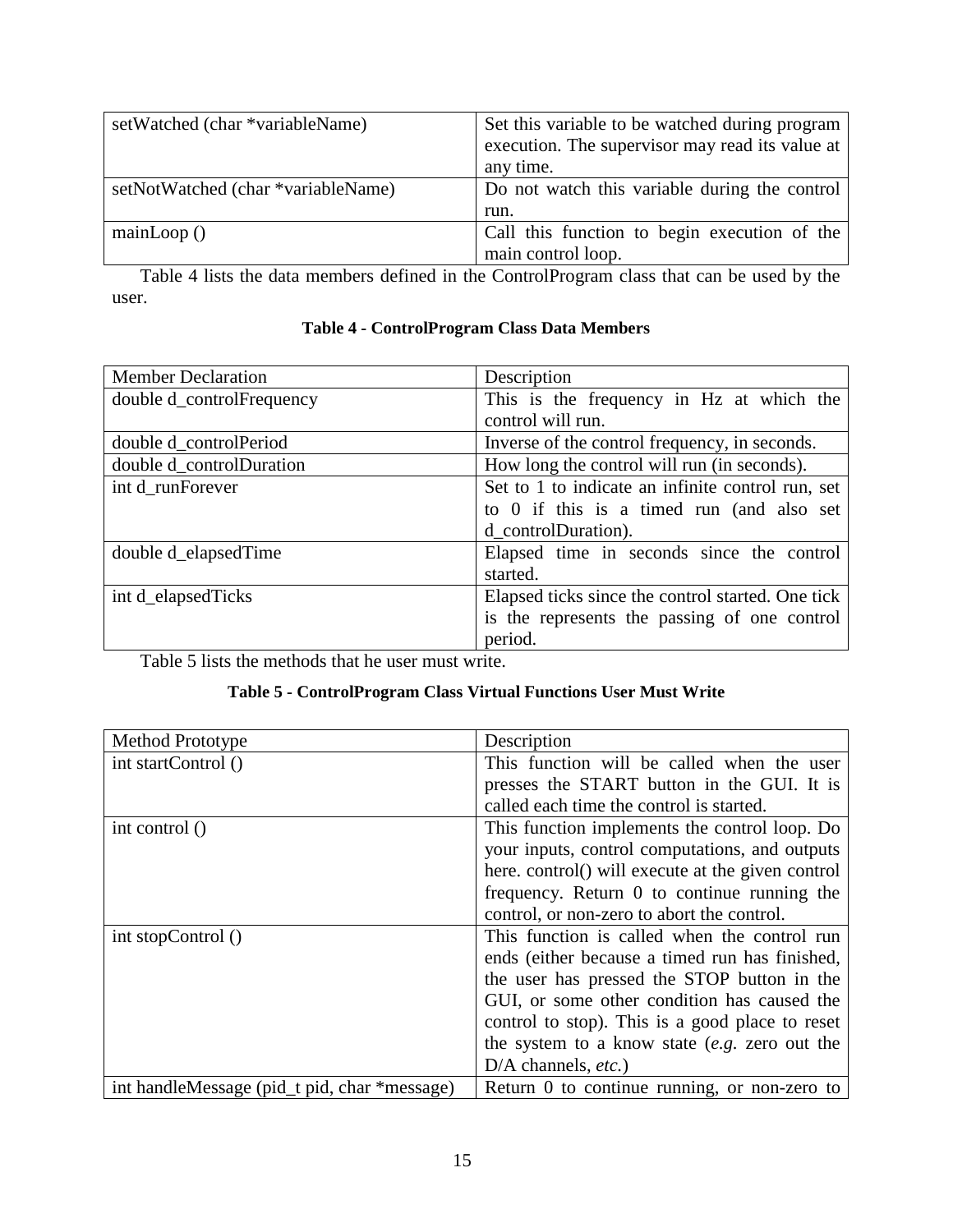| setWatched (char *variableName)    | Set this variable to be watched during program<br>execution. The supervisor may read its value at |
|------------------------------------|---------------------------------------------------------------------------------------------------|
|                                    | any time.                                                                                         |
| setNotWatched (char *variableName) | Do not watch this variable during the control                                                     |
|                                    | run.                                                                                              |
| mainLoop()                         | Call this function to begin execution of the                                                      |
|                                    | main control loop.                                                                                |

Table 4 lists the data members defined in the ControlProgram class that can be used by the user.

| Table 4 - ControlProgram Class Data Members |  |  |  |
|---------------------------------------------|--|--|--|
|---------------------------------------------|--|--|--|

| <b>Member Declaration</b> | Description                                       |
|---------------------------|---------------------------------------------------|
| double d_controlFrequency | This is the frequency in Hz at which the          |
|                           | control will run.                                 |
| double d_controlPeriod    | Inverse of the control frequency, in seconds.     |
| double d_controlDuration  | How long the control will run (in seconds).       |
| int d_runForever          | Set to 1 to indicate an infinite control run, set |
|                           | to 0 if this is a timed run (and also set         |
|                           | d_controlDuration).                               |
| double d_elapsedTime      | Elapsed time in seconds since the control         |
|                           | started.                                          |
| int d_elapsedTicks        | Elapsed ticks since the control started. One tick |
|                           | is the represents the passing of one control      |
|                           | period.                                           |

Table 5 lists the methods that he user must write.

#### **Table 5 - ControlProgram Class Virtual Functions User Must Write**

| Method Prototype                             | Description                                       |
|----------------------------------------------|---------------------------------------------------|
| int startControl ()                          | This function will be called when the user        |
|                                              | presses the START button in the GUI. It is        |
|                                              | called each time the control is started.          |
| int control $()$                             | This function implements the control loop. Do     |
|                                              | your inputs, control computations, and outputs    |
|                                              | here. control() will execute at the given control |
|                                              | frequency. Return 0 to continue running the       |
|                                              | control, or non-zero to abort the control.        |
| int stopControl ()                           | This function is called when the control run      |
|                                              | ends (either because a timed run has finished,    |
|                                              | the user has pressed the STOP button in the       |
|                                              | GUI, or some other condition has caused the       |
|                                              | control to stop). This is a good place to reset   |
|                                              | the system to a know state $(e.g.$ zero out the   |
|                                              | $D/A$ channels, <i>etc.</i> )                     |
| int handleMessage (pid_t pid, char *message) | Return 0 to continue running, or non-zero to      |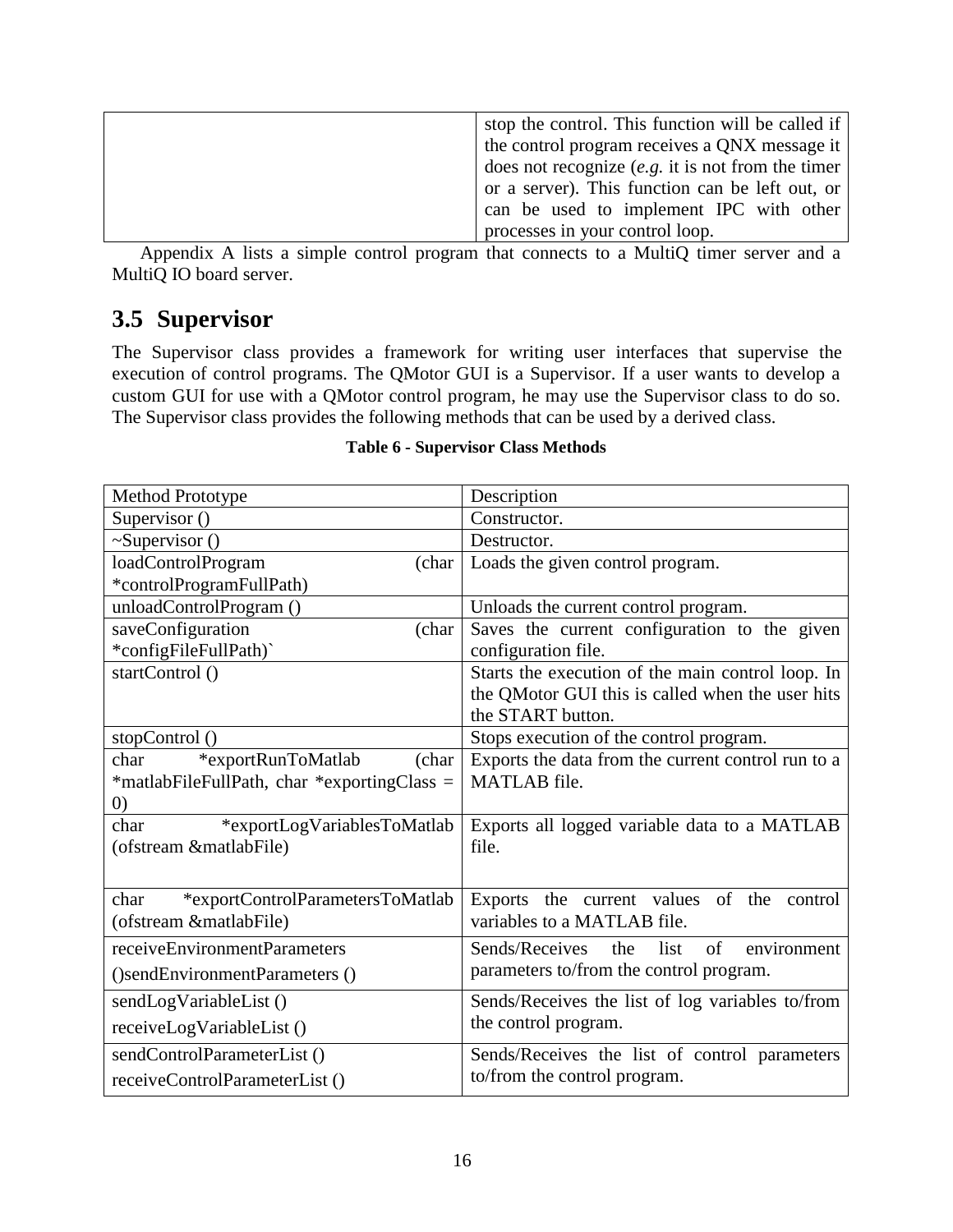| stop the control. This function will be called if   |
|-----------------------------------------------------|
| the control program receives a QNX message it       |
| does not recognize $(e.g.$ it is not from the timer |
| or a server). This function can be left out, or     |
| can be used to implement IPC with other             |
| processes in your control loop.                     |

Appendix A lists a simple control program that connects to a MultiQ timer server and a MultiQ IO board server.

## **3.5 Supervisor**

The Supervisor class provides a framework for writing user interfaces that supervise the execution of control programs. The QMotor GUI is a Supervisor. If a user wants to develop a custom GUI for use with a QMotor control program, he may use the Supervisor class to do so. The Supervisor class provides the following methods that can be used by a derived class.

| Method Prototype                            | Description                                              |
|---------------------------------------------|----------------------------------------------------------|
| Supervisor ()                               | Constructor.                                             |
| $\sim$ Supervisor ()                        | Destructor.                                              |
| loadControlProgram<br>(char                 | Loads the given control program.                         |
| *controlProgramFullPath)                    |                                                          |
| unloadControlProgram ()                     | Unloads the current control program.                     |
| saveConfiguration<br>(char                  | Saves the current configuration to the given             |
| *configFileFullPath)`                       | configuration file.                                      |
| startControl()                              | Starts the execution of the main control loop. In        |
|                                             | the QMotor GUI this is called when the user hits         |
|                                             | the START button.                                        |
| stopControl()                               | Stops execution of the control program.                  |
| *exportRunToMatlab<br>char<br>(char         | Exports the data from the current control run to a       |
| *matlabFileFullPath, char *exportingClass = | <b>MATLAB</b> file.                                      |
| $\left( 0\right)$                           |                                                          |
| *exportLogVariablesToMatlab<br>char         | Exports all logged variable data to a MATLAB             |
| (ofstream &matlabFile)                      | file.                                                    |
|                                             |                                                          |
| char<br>*exportControlParametersToMatlab    | Exports the current values of the<br>control             |
| (ofstream &matlabFile)                      | variables to a MATLAB file.                              |
| receiveEnvironmentParameters                | Sends/Receives<br>$\sigma$<br>list<br>environment<br>the |
| () sendEnvironmentParameters ()             | parameters to/from the control program.                  |
| sendLogVariableList()                       | Sends/Receives the list of log variables to/from         |
| receiveLogVariableList()                    | the control program.                                     |
| sendControlParameterList ()                 | Sends/Receives the list of control parameters            |
| receiveControlParameterList()               | to/from the control program.                             |

#### **Table 6 - Supervisor Class Methods**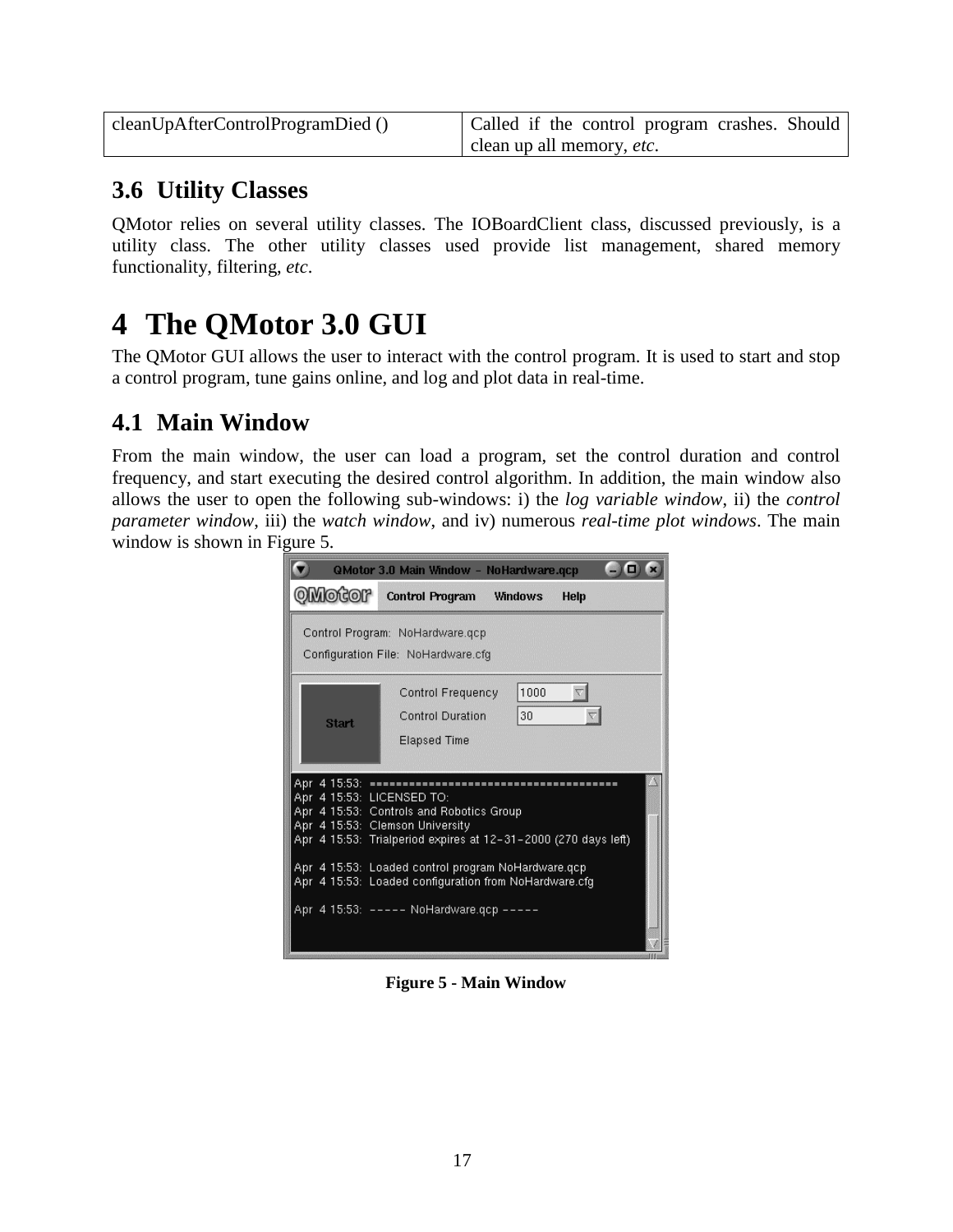| cleanUpAfterControlProgramDied () | Called if the control program crashes. Should |
|-----------------------------------|-----------------------------------------------|
|                                   | clean up all memory, etc.                     |

## **3.6 Utility Classes**

QMotor relies on several utility classes. The IOBoardClient class, discussed previously, is a utility class. The other utility classes used provide list management, shared memory functionality, filtering, *etc*.

# **4 The QMotor 3.0 GUI**

The QMotor GUI allows the user to interact with the control program. It is used to start and stop a control program, tune gains online, and log and plot data in real-time.

## **4.1 Main Window**

From the main window, the user can load a program, set the control duration and control frequency, and start executing the desired control algorithm. In addition, the main window also allows the user to open the following sub-windows: i) the *log variable window*, ii) the *control parameter window*, iii) the *watch window*, and iv) numerous *real-time plot windows*. The main window is shown in Figure 5.

|                                  | QMotor 3.0 Main Window - NoHardware.gcp                                                                                                                                                                                                                      |  |
|----------------------------------|--------------------------------------------------------------------------------------------------------------------------------------------------------------------------------------------------------------------------------------------------------------|--|
| OMotor                           | <b>Control Program Windows</b><br><b>Help</b>                                                                                                                                                                                                                |  |
|                                  | Control Program: NoHardware.gcp<br>Configuration File: NoHardware.cfg                                                                                                                                                                                        |  |
| <b>Start</b>                     | 1000<br><b>Control Frequency</b><br>30<br>Control Duration<br>Elapsed Time                                                                                                                                                                                   |  |
| Apr<br>Apr 4 15:53: LICENSED TO: | Apr 4 15:53: Controls and Robotics Group<br>Apr 4 15:53: Clemson University<br>Apr 4 15:53: Trialperiod expires at 12-31-2000 (270 days left)<br>Apr 4 15:53: Loaded control program NoHardware.gcp<br>Apr 4 15:53: Loaded configuration from NoHardware.cfg |  |
|                                  | Apr 4 15:53: ----- NoHardware.gop -----                                                                                                                                                                                                                      |  |

**Figure 5 - Main Window**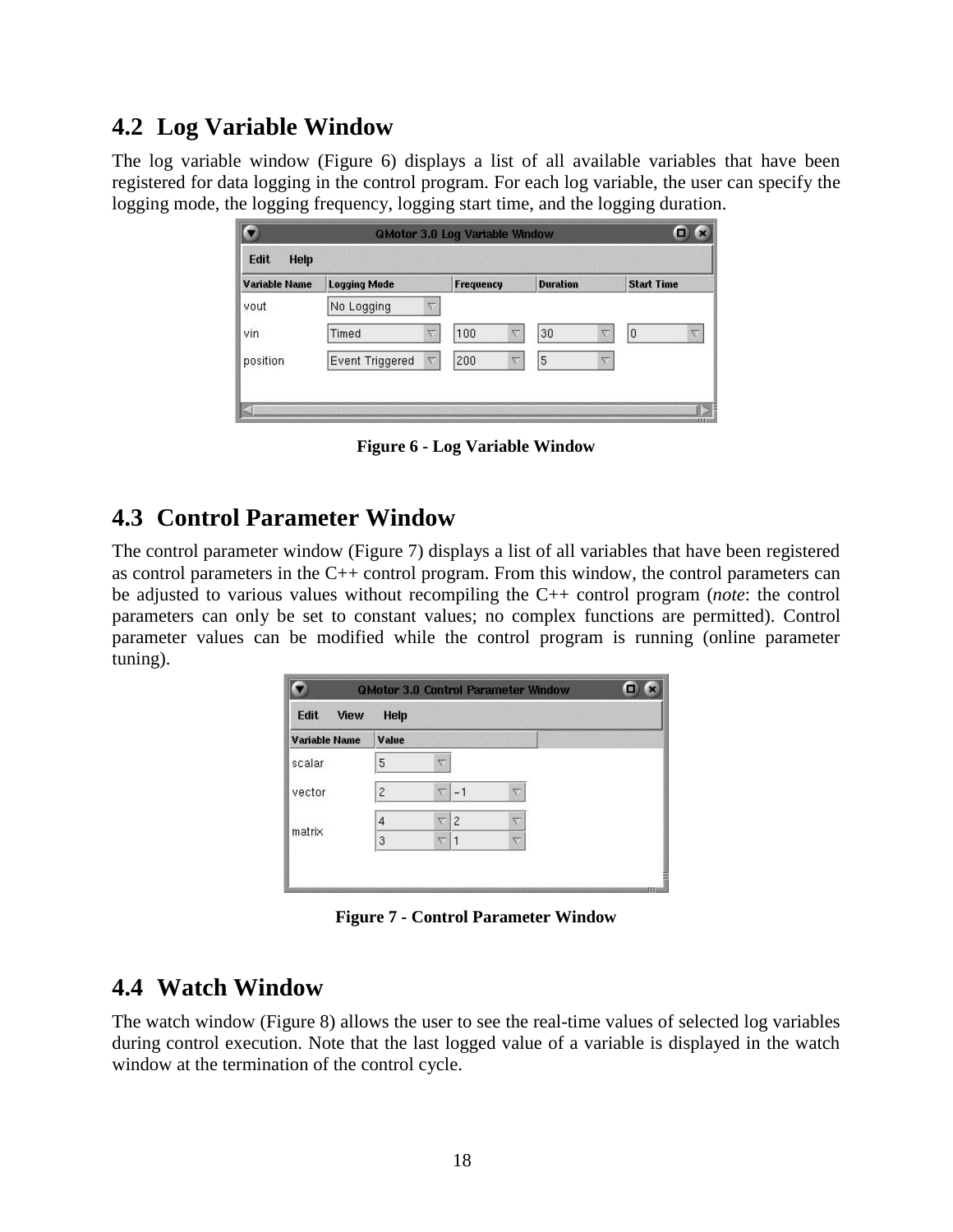### **4.2 Log Variable Window**

The log variable window (Figure 6) displays a list of all available variables that have been registered for data logging in the control program. For each log variable, the user can specify the logging mode, the logging frequency, logging start time, and the logging duration.

| Edit<br>Help         |                                               |                  |                 |                   |  |
|----------------------|-----------------------------------------------|------------------|-----------------|-------------------|--|
| <b>Variable Name</b> | <b>Logging Mode</b>                           | <b>Frequency</b> | <b>Duration</b> | <b>Start Time</b> |  |
| vout                 | No Logging                                    |                  |                 |                   |  |
| vin                  | Timed<br>57                                   | 100<br>栆         | 30<br>ত         | $\theta$          |  |
| position             | <b>Event Triggered</b><br>$\overline{\nabla}$ | 200<br>v         | 5<br>v          |                   |  |

**Figure 6 - Log Variable Window**

### **4.3 Control Parameter Window**

The control parameter window (Figure 7) displays a list of all variables that have been registered as control parameters in the C++ control program. From this window, the control parameters can be adjusted to various values without recompiling the C++ control program (*note*: the control parameters can only be set to constant values; no complex functions are permitted). Control parameter values can be modified while the control program is running (online parameter tuning).

| View<br>Edit  | <b>Help</b>              |                     |                |  |
|---------------|--------------------------|---------------------|----------------|--|
| Variable Name | Value                    |                     |                |  |
| scalar        | 5                        | īν.                 |                |  |
| vector        | $\overline{\phantom{a}}$ | $\overline{\nabla}$ | $-1$           |  |
|               | $\overline{4}$           | v                   | $\overline{c}$ |  |
| matrix        | 3                        | $\overline{\nabla}$ | $\mathbf{1}$   |  |

**Figure 7 - Control Parameter Window**

### **4.4 Watch Window**

The watch window (Figure 8) allows the user to see the real-time values of selected log variables during control execution. Note that the last logged value of a variable is displayed in the watch window at the termination of the control cycle.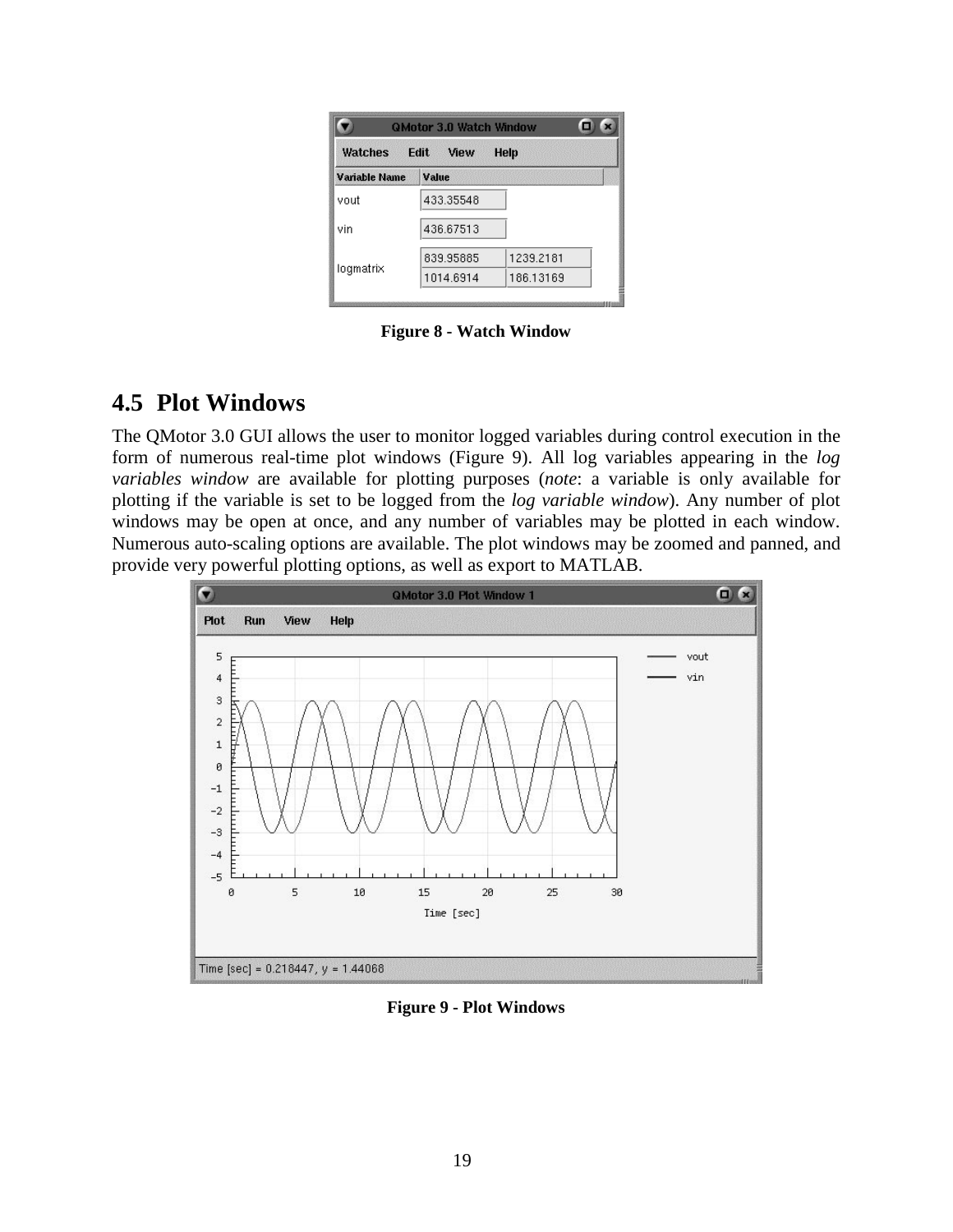| <b>QMotor 3.0 Watch Window</b>  |           |           |  |  |  |
|---------------------------------|-----------|-----------|--|--|--|
| Watches<br>Edit<br>View<br>Help |           |           |  |  |  |
| <b>Variable Name</b>            | Value     |           |  |  |  |
| vout                            | 433.35548 |           |  |  |  |
| vin                             | 436.67513 |           |  |  |  |
|                                 | 839.95885 | 1239.2181 |  |  |  |
| logmatrix                       | 1014.6914 | 186.13169 |  |  |  |

**Figure 8 - Watch Window**

### **4.5 Plot Windows**

The QMotor 3.0 GUI allows the user to monitor logged variables during control execution in the form of numerous real-time plot windows (Figure 9). All log variables appearing in the *log variables window* are available for plotting purposes (*note*: a variable is only available for plotting if the variable is set to be logged from the *log variable window*). Any number of plot windows may be open at once, and any number of variables may be plotted in each window. Numerous auto-scaling options are available. The plot windows may be zoomed and panned, and provide very powerful plotting options, as well as export to MATLAB.



**Figure 9 - Plot Windows**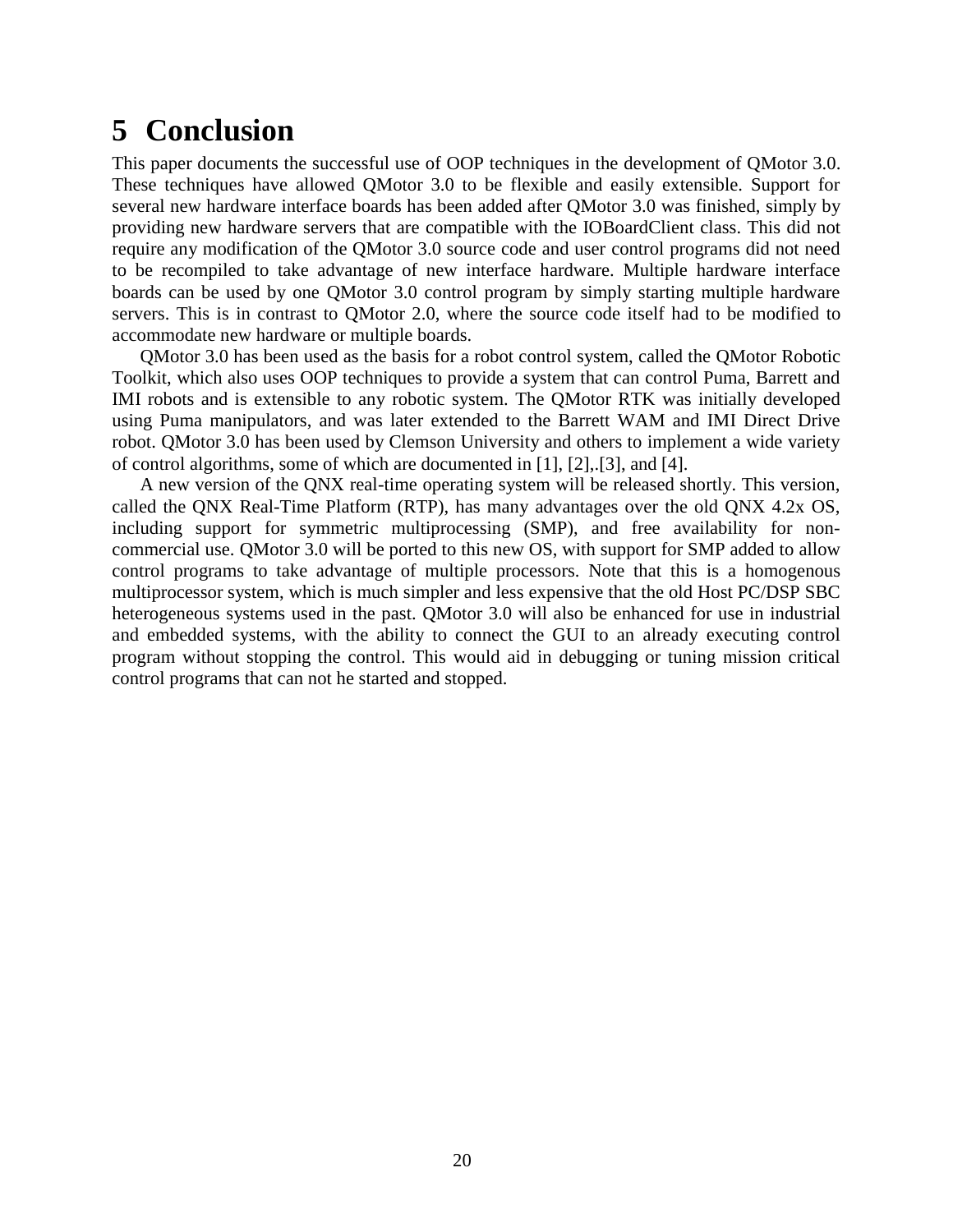# **5 Conclusion**

This paper documents the successful use of OOP techniques in the development of QMotor 3.0. These techniques have allowed QMotor 3.0 to be flexible and easily extensible. Support for several new hardware interface boards has been added after QMotor 3.0 was finished, simply by providing new hardware servers that are compatible with the IOBoardClient class. This did not require any modification of the QMotor 3.0 source code and user control programs did not need to be recompiled to take advantage of new interface hardware. Multiple hardware interface boards can be used by one QMotor 3.0 control program by simply starting multiple hardware servers. This is in contrast to QMotor 2.0, where the source code itself had to be modified to accommodate new hardware or multiple boards.

QMotor 3.0 has been used as the basis for a robot control system, called the QMotor Robotic Toolkit, which also uses OOP techniques to provide a system that can control Puma, Barrett and IMI robots and is extensible to any robotic system. The QMotor RTK was initially developed using Puma manipulators, and was later extended to the Barrett WAM and IMI Direct Drive robot. QMotor 3.0 has been used by Clemson University and others to implement a wide variety of control algorithms, some of which are documented in [1], [2],.[3], and [4].

A new version of the QNX real-time operating system will be released shortly. This version, called the QNX Real-Time Platform (RTP), has many advantages over the old QNX 4.2x OS, including support for symmetric multiprocessing (SMP), and free availability for noncommercial use. QMotor 3.0 will be ported to this new OS, with support for SMP added to allow control programs to take advantage of multiple processors. Note that this is a homogenous multiprocessor system, which is much simpler and less expensive that the old Host PC/DSP SBC heterogeneous systems used in the past. QMotor 3.0 will also be enhanced for use in industrial and embedded systems, with the ability to connect the GUI to an already executing control program without stopping the control. This would aid in debugging or tuning mission critical control programs that can not he started and stopped.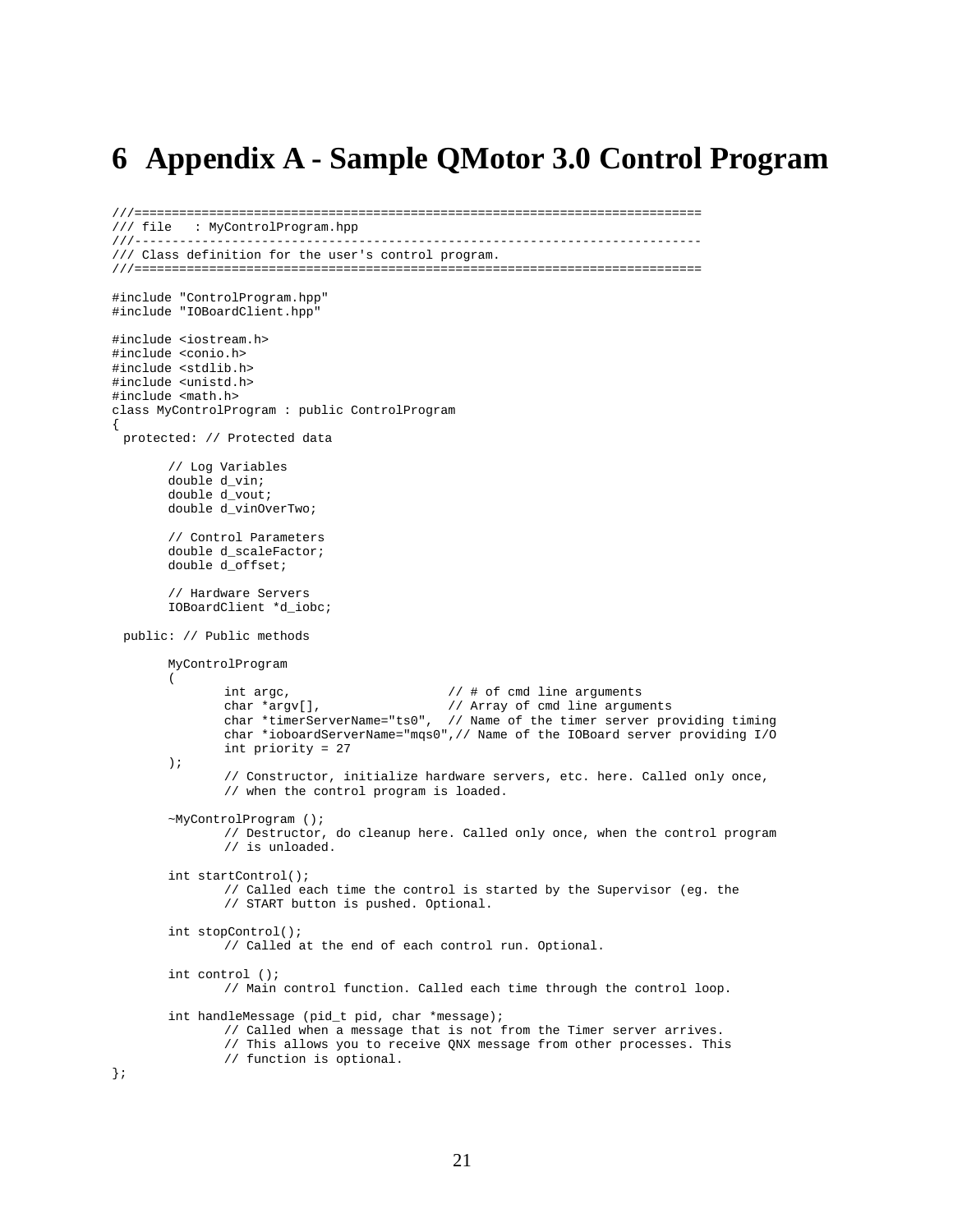# **6 Appendix A - Sample QMotor 3.0 Control Program**

```
///============================================================================
/// file : MyControlProgram.hpp
///----------------------------------------------------------------------------
/// Class definition for the user's control program.
///============================================================================
#include "ControlProgram.hpp"
#include "IOBoardClient.hpp"
#include <iostream.h>
#include <conio.h>
#include <stdlib.h>
#include <unistd.h>
#include <math.h>
class MyControlProgram : public ControlProgram
{
 protected: // Protected data
       // Log Variables
       double d_vin;
       double d_vout;
       double d_vinOverTwo;
       // Control Parameters
       double d_scaleFactor;
       double d_offset;
       // Hardware Servers
       IOBoardClient *d_iobc;
 public: // Public methods
       MyControlProgram
       (
              int argc, \frac{1}{4} of cmd line arguments
               char *argv[], // Array of cmd line arguments
               char *timerServerName="ts0", // Name of the timer server providing timing
               char *ioboardServerName="mqs0",// Name of the IOBoard server providing I/O
              int priority = 27
       );
               // Constructor, initialize hardware servers, etc. here. Called only once,
               // when the control program is loaded.
       ~MyControlProgram ();
              // Destructor, do cleanup here. Called only once, when the control program
               // is unloaded.
       int startControl();
               // Called each time the control is started by the Supervisor (eg. the
               // START button is pushed. Optional.
       int stopControl();
               // Called at the end of each control run. Optional.
       int control ();
               // Main control function. Called each time through the control loop.
       int handleMessage (pid_t pid, char *message);
               // Called when a message that is not from the Timer server arrives.
               // This allows you to receive QNX message from other processes. This
               // function is optional.
```
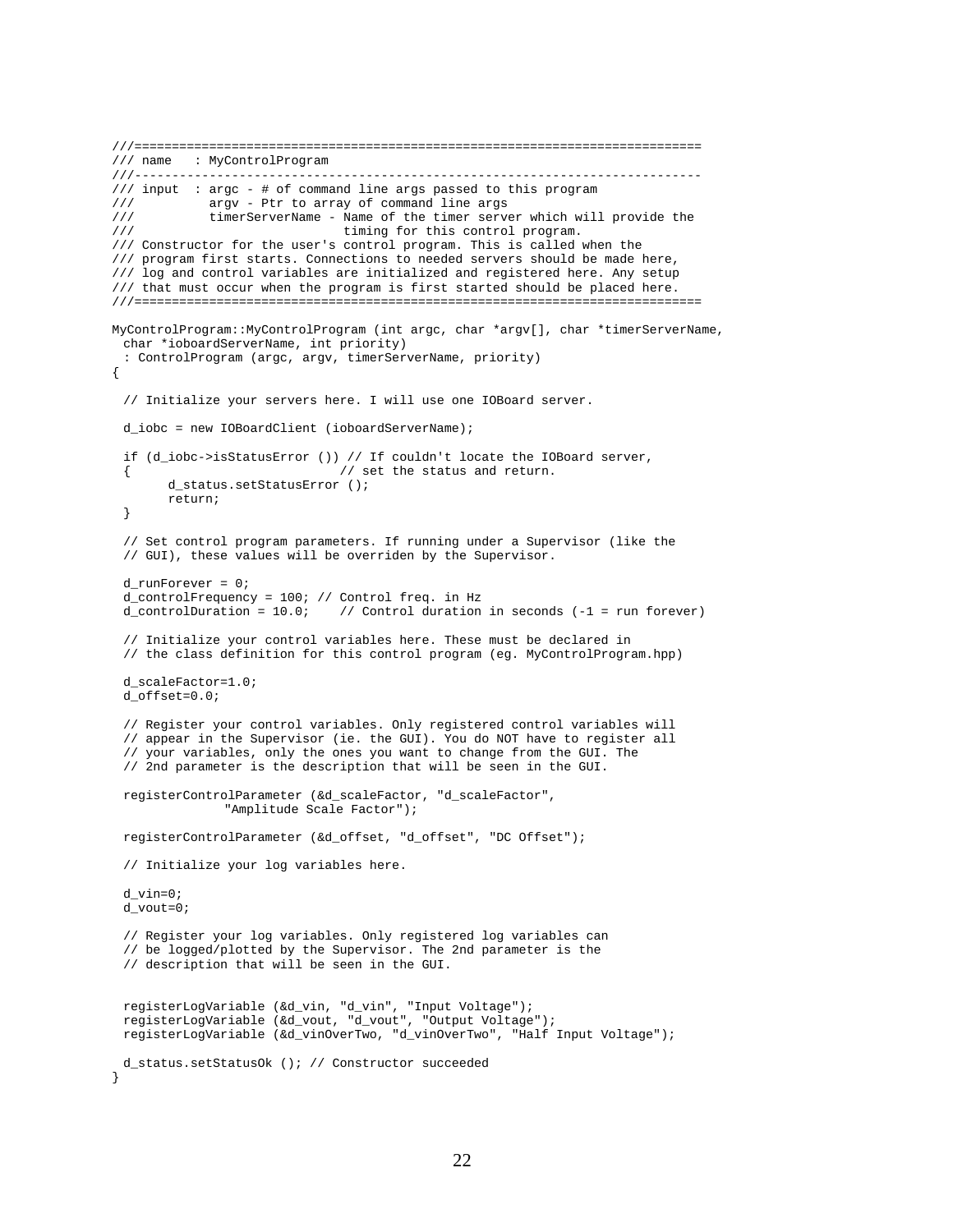```
///============================================================================
/// name : MyControlProgram
///----------------------------------------------------------------------------
/// input : argc - # of command line args passed to this program
/// argv - Ptr to array of command line args
/// timerServerName - Name of the timer server which will provide the
/// timing for this control program.
/// Constructor for the user's control program. This is called when the
/// program first starts. Connections to needed servers should be made here,
/// log and control variables are initialized and registered here. Any setup
/// that must occur when the program is first started should be placed here.
///============================================================================
MyControlProgram::MyControlProgram (int argc, char *argv[], char *timerServerName,
 char *ioboardServerName, int priority)
 : ControlProgram (argc, argv, timerServerName, priority)
{
 // Initialize your servers here. I will use one IOBoard server.
 d_iobc = new IOBoardClient (ioboardServerName);
 if (d_iobc->isStatusError ()) // If couldn't locate the IOBoard server,
 { // set the status and return.
       d_status.setStatusError ();
       return;
 }
 // Set control program parameters. If running under a Supervisor (like the
 // GUI), these values will be overriden by the Supervisor.
 d runForever = 0;d_controlFrequency = 100; // Control freq. in Hz<br>d_controlDuration = 10.0; // Control duration
                             // Control duration in seconds (-1) = run forever)
 // Initialize your control variables here. These must be declared in
 // the class definition for this control program (eg. MyControlProgram.hpp)
 d_scaleFactor=1.0;
 d_offset=0.0;
 // Register your control variables. Only registered control variables will
 // appear in the Supervisor (ie. the GUI). You do NOT have to register all
 // your variables, only the ones you want to change from the GUI. The
 // 2nd parameter is the description that will be seen in the GUI.
 registerControlParameter (&d_scaleFactor, "d_scaleFactor",
               "Amplitude Scale Factor");
 registerControlParameter (&d_offset, "d_offset", "DC Offset");
 // Initialize your log variables here.
 d_vin=0;
 d_vout=0;
 // Register your log variables. Only registered log variables can
 // be logged/plotted by the Supervisor. The 2nd parameter is the
 // description that will be seen in the GUI.
 registerLogVariable (&d_vin, "d_vin", "Input Voltage");
 registerLogVariable (&d_vout, "d_vout", "Output Voltage");
 registerLogVariable (&d_vinOverTwo, "d_vinOverTwo", "Half Input Voltage");
 d_status.setStatusOk (); // Constructor succeeded
}
```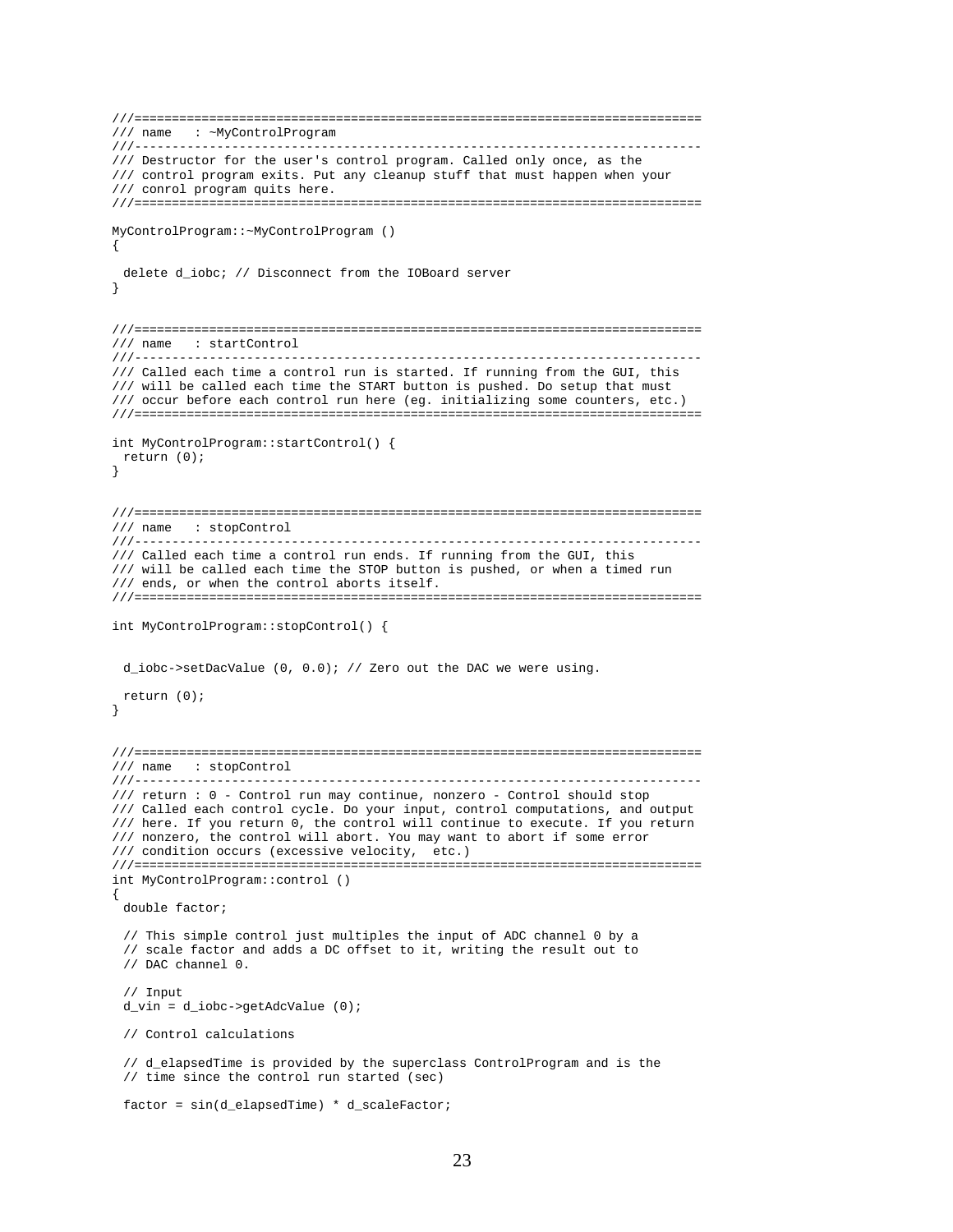```
///============================================================================
/// name : ~MyControlProgram
///----------------------------------------------------------------------------
/// Destructor for the user's control program. Called only once, as the
/// control program exits. Put any cleanup stuff that must happen when your
/// conrol program quits here.
///============================================================================
MyControlProgram::~MyControlProgram ()
{
 delete d_iobc; // Disconnect from the IOBoard server
}
///============================================================================
/// name : startControl
///----------------------------------------------------------------------------
/// Called each time a control run is started. If running from the GUI, this
/// will be called each time the START button is pushed. Do setup that must
/// occur before each control run here (eg. initializing some counters, etc.)
///============================================================================
int MyControlProgram::startControl() {
return (0);
}
///============================================================================
/// name : stopControl
///----------------------------------------------------------------------------
/// Called each time a control run ends. If running from the GUI, this
/// will be called each time the STOP button is pushed, or when a timed run
/// ends, or when the control aborts itself.
///============================================================================
int MyControlProgram::stopControl() {
 d_iobc->setDacValue (0, 0.0); // Zero out the DAC we were using.
 return (0);
}
///============================================================================
/// name : stopControl
///----------------------------------------------------------------------------
/// return:0- Control run may continue, nonzero - Control should stop
/// Called each control cycle. Do your input, control computations, and output
/// here. If you return 0, the control will continue to execute. If you return
/// nonzero, the control will abort. You may want to abort if some error
/// condition occurs (excessive velocity, etc.)
///============================================================================
int MyControlProgram::control ()
{
 double factor;
 // This simple control just multiples the input of ADC channel 0 by a
 // scale factor and adds a DC offset to it, writing the result out to
 // DAC channel 0.
 // Input
 d_vin = d_iobc->getAdcValue (0);
 // Control calculations
 // d_elapsedTime is provided by the superclass ControlProgram and is the
 // time since the control run started (sec)
 factor = sin(d_elapsedTime) * d_scaleFactor;
```

```
23
```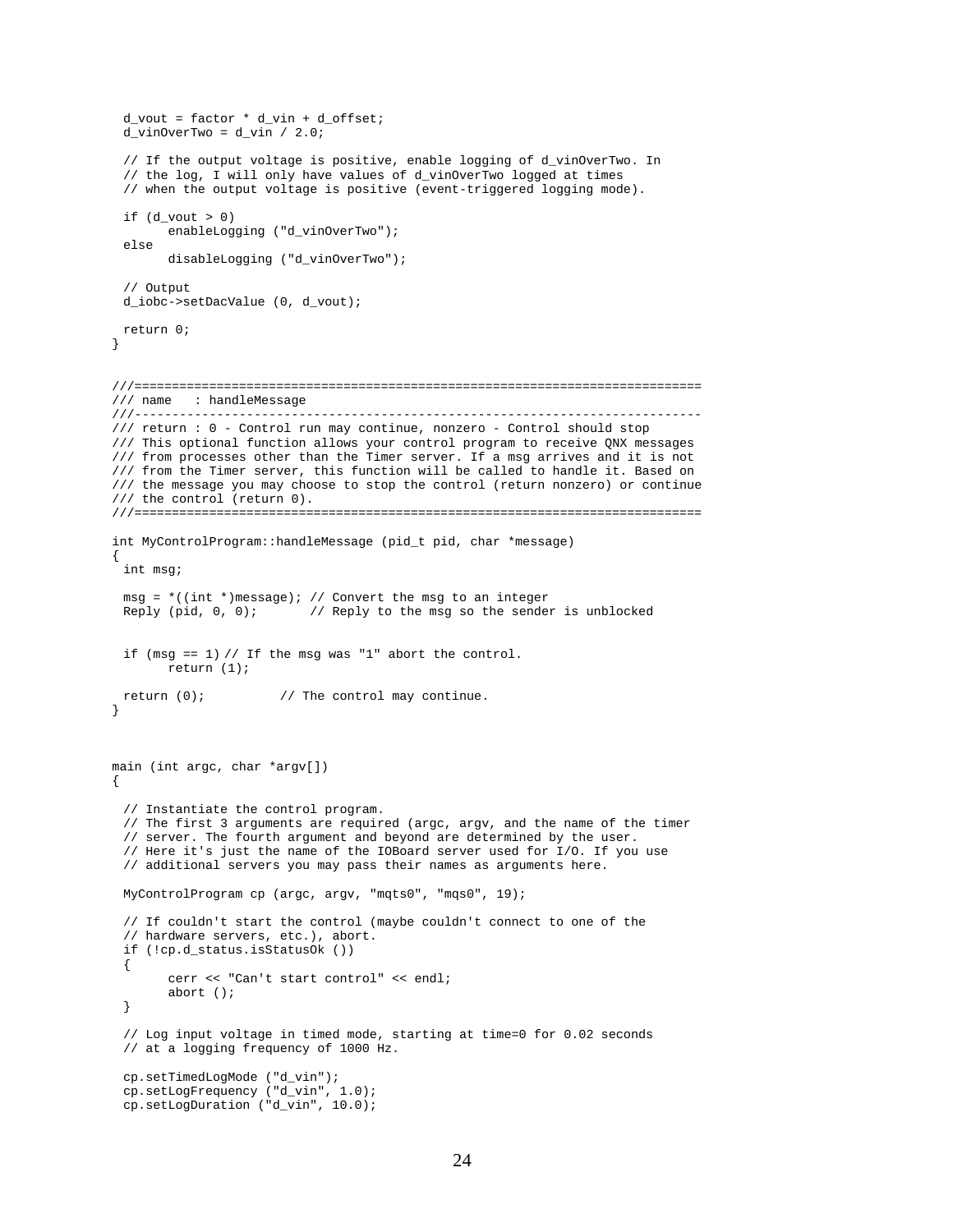```
d_vout = factor * d_vin + d_offset;
 d_vinOverTwo = d_vin / 2.0;
 // If the output voltage is positive, enable logging of d_vinOverTwo. In
 // the log, I will only have values of d_vinOverTwo logged at times
 // when the output voltage is positive (event-triggered logging mode).
 if (d_vout > 0)enableLogging ("d_vinOverTwo");
 else
       disableLogging ("d_vinOverTwo");
 // Output
 d_iobc->setDacValue (0, d_vout);
 return 0;
}
///============================================================================
/// name : handleMessage
///----------------------------------------------------------------------------
/// return:0- Control run may continue, nonzero - Control should stop
/// This optional function allows your control program to receive QNX messages
/// from processes other than the Timer server. If a msg arrives and it is not
/// from the Timer server, this function will be called to handle it. Based on
/// the message you may choose to stop the control (return nonzero) or continue
/// the control (return 0).
///============================================================================
int MyControlProgram::handleMessage (pid_t pid, char *message)
{
 int msg;
 msg = *((int *)message); // Convert the msg to an integer Reply (pid, 0, 0); // Reply to the msg so the sender
                          // Reply to the msg so the sender is unblocked
 if (msg == 1) // If the msg was "1" abort the control.
       return (1);
 return (0); // The control may continue.
}
main (int argc, char *argv[])
{
 // Instantiate the control program.
 // The first 3 arguments are required (argc, argv, and the name of the timer
 // server. The fourth argument and beyond are determined by the user.
 // Here it's just the name of the IOBoard server used for I/O. If you use
 // additional servers you may pass their names as arguments here.
 MyControlProgram cp (argc, argv, "mqts0", "mqs0", 19);
 // If couldn't start the control (maybe couldn't connect to one of the
 // hardware servers, etc.), abort.
 if (!cp.d_status.isStatusOk ())
 {
       cerr << "Can't start control" << endl;
       abort ();
 }
 // Log input voltage in timed mode, starting at time=0 for 0.02 seconds
 // at a logging frequency of 1000 Hz.
 cp.setTimedLogMode ("d_vin");
 cp.setLogFrequency ("d_vin", 1.0);
 cp.setLogDuration ("d_vin", 10.0);
```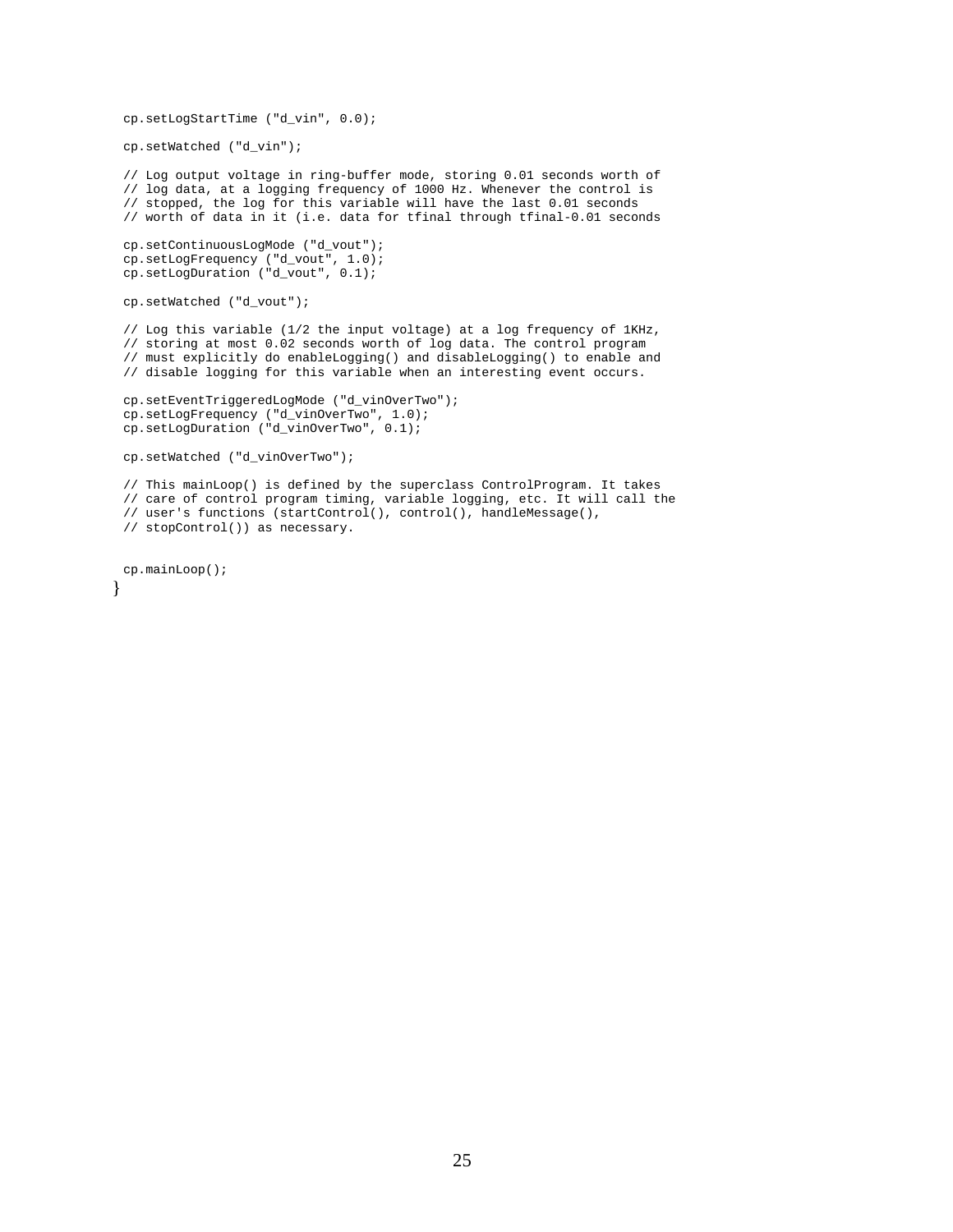```
cp.setLogStartTime ("d_vin", 0.0);
cp.setWatched ("d_vin");
// Log output voltage in ring-buffer mode, storing 0.01 seconds worth of
// log data, at a logging frequency of 1000 Hz. Whenever the control is
// stopped, the log for this variable will have the last 0.01 seconds
// worth of data in it (i.e. data for tfinal through tfinal-0.01 seconds
cp.setContinuousLogMode ("d_vout");
cp.setLogFrequency ("d_vout", 1.0);
cp.setLogDuration ("d_vout", 0.1);
cp.setWatched ("d_vout");
// Log this variable (1/2 the input voltage) at a log frequency of 1KHz,
// storing at most 0.02 seconds worth of log data. The control program
// must explicitly do enableLogging() and disableLogging() to enable and
// disable logging for this variable when an interesting event occurs.
cp.setEventTriggeredLogMode ("d_vinOverTwo");
cp.setLogFrequency ("d_vinOverTwo", 1.0);
cp.setLogDuration ("d_vinOverTwo", 0.1);
cp.setWatched ("d_vinOverTwo");
// This mainLoop() is defined by the superclass ControlProgram. It takes
// care of control program timing, variable logging, etc. It will call the
// user's functions (startControl(), control(), handleMessage(),
// stopControl()) as necessary.
```
cp.mainLoop(); }